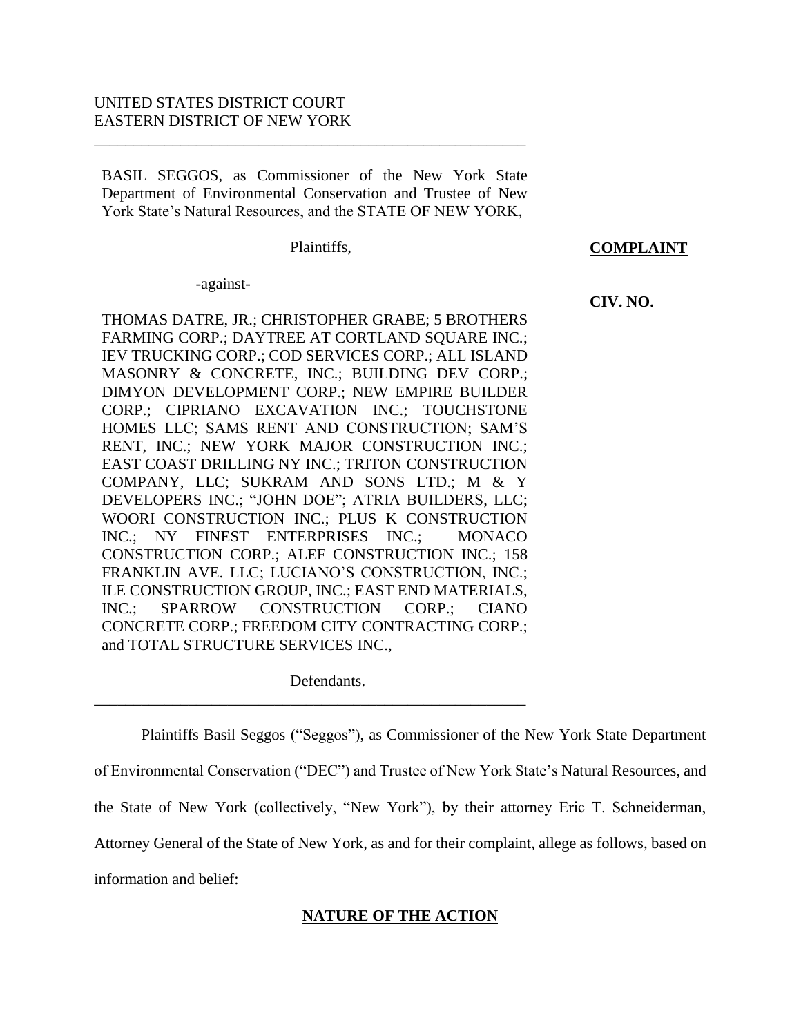# UNITED STATES DISTRICT COURT EASTERN DISTRICT OF NEW YORK

BASIL SEGGOS, as Commissioner of the New York State Department of Environmental Conservation and Trustee of New York State's Natural Resources, and the STATE OF NEW YORK,

\_\_\_\_\_\_\_\_\_\_\_\_\_\_\_\_\_\_\_\_\_\_\_\_\_\_\_\_\_\_\_\_\_\_\_\_\_\_\_\_\_\_\_\_\_\_\_\_\_\_\_\_\_\_\_

Plaintiffs,

 **COMPLAINT**

 **CIV. NO.**

-against-

THOMAS DATRE, JR.; CHRISTOPHER GRABE; 5 BROTHERS FARMING CORP.; DAYTREE AT CORTLAND SQUARE INC.; IEV TRUCKING CORP.; COD SERVICES CORP.; ALL ISLAND MASONRY & CONCRETE, INC.; BUILDING DEV CORP.; DIMYON DEVELOPMENT CORP.; NEW EMPIRE BUILDER CORP.; CIPRIANO EXCAVATION INC.; TOUCHSTONE HOMES LLC; SAMS RENT AND CONSTRUCTION; SAM'S RENT, INC.; NEW YORK MAJOR CONSTRUCTION INC.; EAST COAST DRILLING NY INC.; TRITON CONSTRUCTION COMPANY, LLC; SUKRAM AND SONS LTD.; M & Y DEVELOPERS INC.; "JOHN DOE"; ATRIA BUILDERS, LLC; WOORI CONSTRUCTION INC.; PLUS K CONSTRUCTION INC.; NY FINEST ENTERPRISES INC.; MONACO CONSTRUCTION CORP.; ALEF CONSTRUCTION INC.; 158 FRANKLIN AVE. LLC; LUCIANO'S CONSTRUCTION, INC.; ILE CONSTRUCTION GROUP, INC.; EAST END MATERIALS, INC.; SPARROW CONSTRUCTION CORP.; CIANO CONCRETE CORP.; FREEDOM CITY CONTRACTING CORP.; and TOTAL STRUCTURE SERVICES INC.,

Defendants.

\_\_\_\_\_\_\_\_\_\_\_\_\_\_\_\_\_\_\_\_\_\_\_\_\_\_\_\_\_\_\_\_\_\_\_\_\_\_\_\_\_\_\_\_\_\_\_\_\_\_\_\_\_\_\_

Plaintiffs Basil Seggos ("Seggos"), as Commissioner of the New York State Department of Environmental Conservation ("DEC") and Trustee of New York State's Natural Resources, and the State of New York (collectively, "New York"), by their attorney Eric T. Schneiderman, Attorney General of the State of New York, as and for their complaint, allege as follows, based on information and belief:

# **NATURE OF THE ACTION**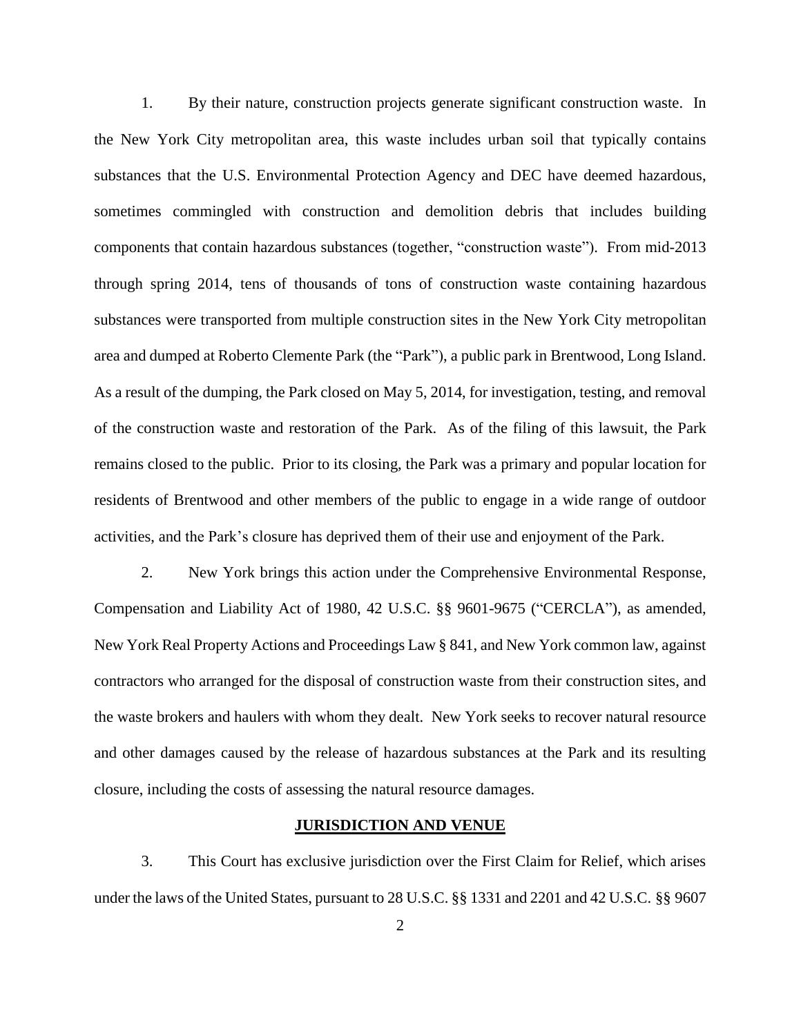1. By their nature, construction projects generate significant construction waste. In the New York City metropolitan area, this waste includes urban soil that typically contains substances that the U.S. Environmental Protection Agency and DEC have deemed hazardous, sometimes commingled with construction and demolition debris that includes building components that contain hazardous substances (together, "construction waste"). From mid-2013 through spring 2014, tens of thousands of tons of construction waste containing hazardous substances were transported from multiple construction sites in the New York City metropolitan area and dumped at Roberto Clemente Park (the "Park"), a public park in Brentwood, Long Island. As a result of the dumping, the Park closed on May 5, 2014, for investigation, testing, and removal of the construction waste and restoration of the Park. As of the filing of this lawsuit, the Park remains closed to the public. Prior to its closing, the Park was a primary and popular location for residents of Brentwood and other members of the public to engage in a wide range of outdoor activities, and the Park's closure has deprived them of their use and enjoyment of the Park.

2. New York brings this action under the Comprehensive Environmental Response, Compensation and Liability Act of 1980, 42 U.S.C. §§ 9601-9675 ("CERCLA"), as amended, New York Real Property Actions and Proceedings Law § 841, and New York common law, against contractors who arranged for the disposal of construction waste from their construction sites, and the waste brokers and haulers with whom they dealt. New York seeks to recover natural resource and other damages caused by the release of hazardous substances at the Park and its resulting closure, including the costs of assessing the natural resource damages.

## **JURISDICTION AND VENUE**

3. This Court has exclusive jurisdiction over the First Claim for Relief, which arises under the laws of the United States, pursuant to 28 U.S.C. §§ 1331 and 2201 and 42 U.S.C. §§ 9607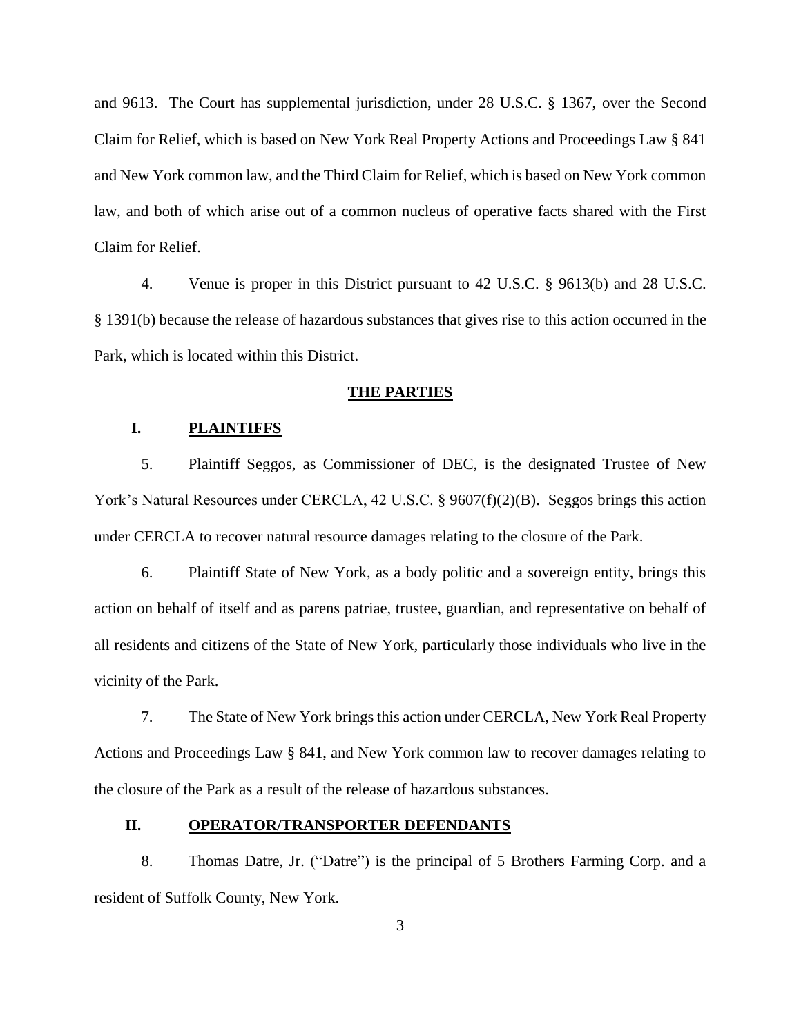and 9613. The Court has supplemental jurisdiction, under 28 U.S.C. § 1367, over the Second Claim for Relief, which is based on New York Real Property Actions and Proceedings Law § 841 and New York common law, and the Third Claim for Relief, which is based on New York common law, and both of which arise out of a common nucleus of operative facts shared with the First Claim for Relief.

4. Venue is proper in this District pursuant to 42 U.S.C. § 9613(b) and 28 U.S.C. § 1391(b) because the release of hazardous substances that gives rise to this action occurred in the Park, which is located within this District.

#### **THE PARTIES**

# **I. PLAINTIFFS**

5. Plaintiff Seggos, as Commissioner of DEC, is the designated Trustee of New York's Natural Resources under CERCLA, 42 U.S.C. § 9607(f)(2)(B). Seggos brings this action under CERCLA to recover natural resource damages relating to the closure of the Park.

6. Plaintiff State of New York, as a body politic and a sovereign entity, brings this action on behalf of itself and as parens patriae, trustee, guardian, and representative on behalf of all residents and citizens of the State of New York, particularly those individuals who live in the vicinity of the Park.

7. The State of New York brings this action under CERCLA, New York Real Property Actions and Proceedings Law § 841, and New York common law to recover damages relating to the closure of the Park as a result of the release of hazardous substances.

# **II. OPERATOR/TRANSPORTER DEFENDANTS**

8. Thomas Datre, Jr. ("Datre") is the principal of 5 Brothers Farming Corp. and a resident of Suffolk County, New York.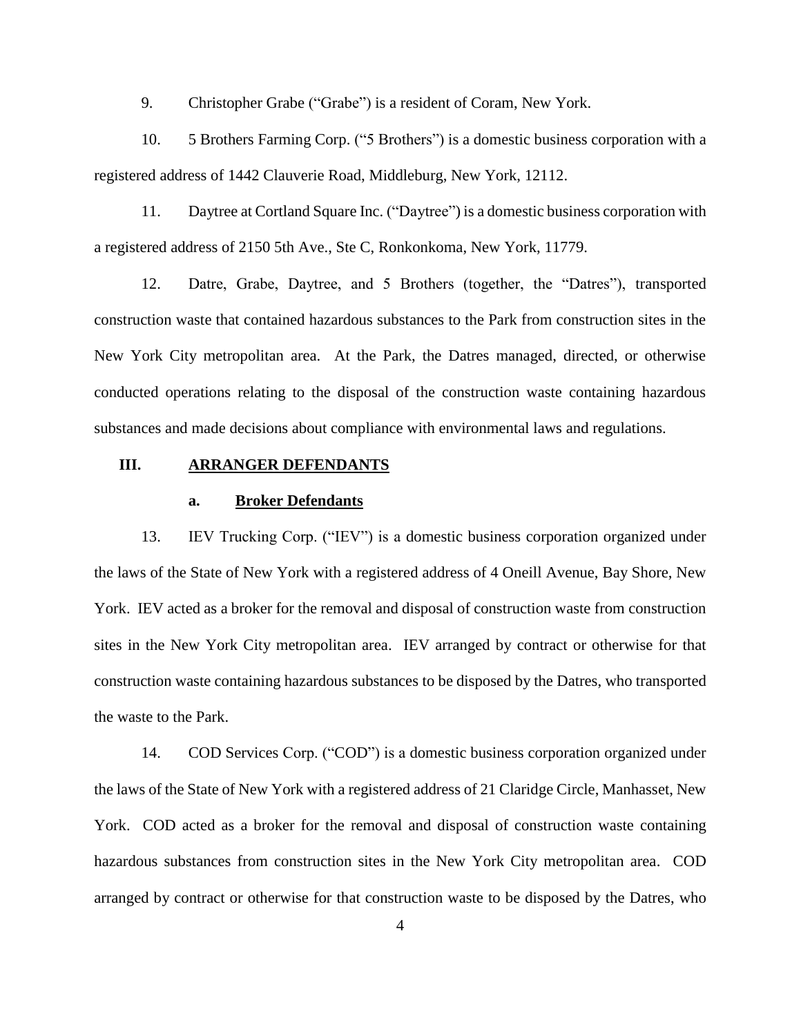9. Christopher Grabe ("Grabe") is a resident of Coram, New York.

10. 5 Brothers Farming Corp. ("5 Brothers") is a domestic business corporation with a registered address of 1442 Clauverie Road, Middleburg, New York, 12112.

11. Daytree at Cortland Square Inc. ("Daytree") is a domestic business corporation with a registered address of 2150 5th Ave., Ste C, Ronkonkoma, New York, 11779.

12. Datre, Grabe, Daytree, and 5 Brothers (together, the "Datres"), transported construction waste that contained hazardous substances to the Park from construction sites in the New York City metropolitan area. At the Park, the Datres managed, directed, or otherwise conducted operations relating to the disposal of the construction waste containing hazardous substances and made decisions about compliance with environmental laws and regulations.

# **III. ARRANGER DEFENDANTS**

#### **a. Broker Defendants**

13. IEV Trucking Corp. ("IEV") is a domestic business corporation organized under the laws of the State of New York with a registered address of 4 Oneill Avenue, Bay Shore, New York. IEV acted as a broker for the removal and disposal of construction waste from construction sites in the New York City metropolitan area. IEV arranged by contract or otherwise for that construction waste containing hazardous substances to be disposed by the Datres, who transported the waste to the Park.

14. COD Services Corp. ("COD") is a domestic business corporation organized under the laws of the State of New York with a registered address of 21 Claridge Circle, Manhasset, New York. COD acted as a broker for the removal and disposal of construction waste containing hazardous substances from construction sites in the New York City metropolitan area. COD arranged by contract or otherwise for that construction waste to be disposed by the Datres, who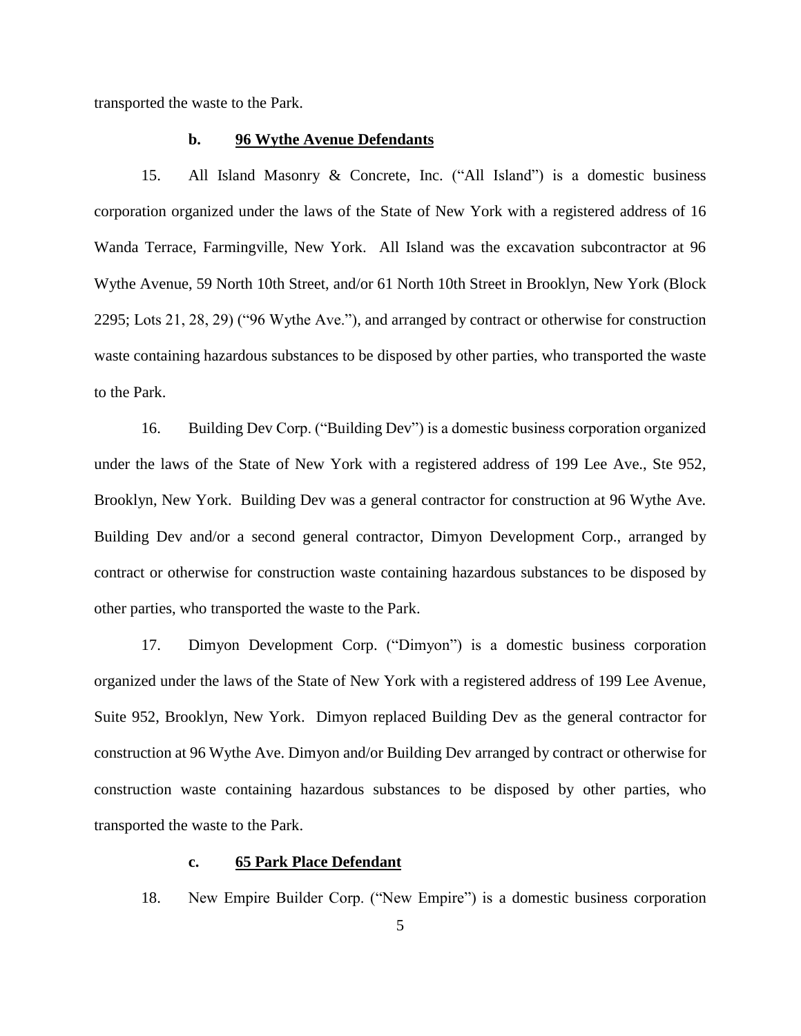transported the waste to the Park.

## **b. 96 Wythe Avenue Defendants**

15. All Island Masonry & Concrete, Inc. ("All Island") is a domestic business corporation organized under the laws of the State of New York with a registered address of 16 Wanda Terrace, Farmingville, New York. All Island was the excavation subcontractor at 96 Wythe Avenue, 59 North 10th Street, and/or 61 North 10th Street in Brooklyn, New York (Block 2295; Lots 21, 28, 29) ("96 Wythe Ave."), and arranged by contract or otherwise for construction waste containing hazardous substances to be disposed by other parties, who transported the waste to the Park.

16. Building Dev Corp. ("Building Dev") is a domestic business corporation organized under the laws of the State of New York with a registered address of 199 Lee Ave., Ste 952, Brooklyn, New York. Building Dev was a general contractor for construction at 96 Wythe Ave. Building Dev and/or a second general contractor, Dimyon Development Corp., arranged by contract or otherwise for construction waste containing hazardous substances to be disposed by other parties, who transported the waste to the Park.

17. Dimyon Development Corp. ("Dimyon") is a domestic business corporation organized under the laws of the State of New York with a registered address of 199 Lee Avenue, Suite 952, Brooklyn, New York. Dimyon replaced Building Dev as the general contractor for construction at 96 Wythe Ave. Dimyon and/or Building Dev arranged by contract or otherwise for construction waste containing hazardous substances to be disposed by other parties, who transported the waste to the Park.

# **c. 65 Park Place Defendant**

18. New Empire Builder Corp. ("New Empire") is a domestic business corporation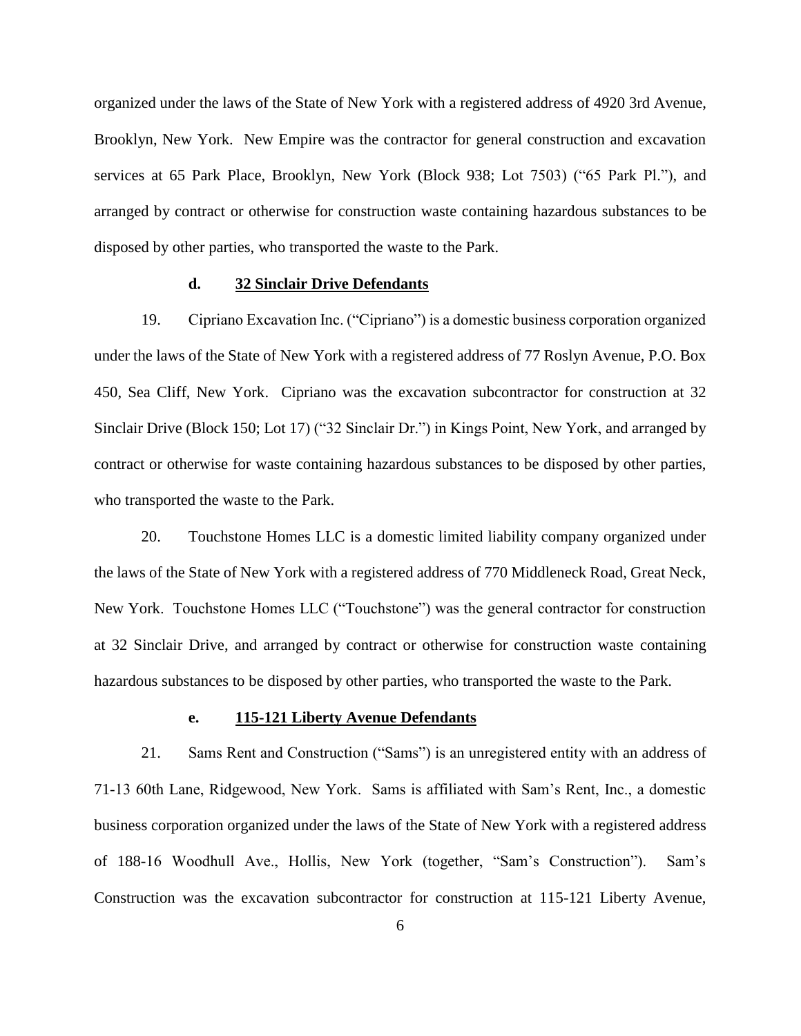organized under the laws of the State of New York with a registered address of 4920 3rd Avenue, Brooklyn, New York. New Empire was the contractor for general construction and excavation services at 65 Park Place, Brooklyn, New York (Block 938; Lot 7503) ("65 Park Pl."), and arranged by contract or otherwise for construction waste containing hazardous substances to be disposed by other parties, who transported the waste to the Park.

## **d. 32 Sinclair Drive Defendants**

19. Cipriano Excavation Inc. ("Cipriano") is a domestic business corporation organized under the laws of the State of New York with a registered address of 77 Roslyn Avenue, P.O. Box 450, Sea Cliff, New York. Cipriano was the excavation subcontractor for construction at 32 Sinclair Drive (Block 150; Lot 17) ("32 Sinclair Dr.") in Kings Point, New York, and arranged by contract or otherwise for waste containing hazardous substances to be disposed by other parties, who transported the waste to the Park.

20. Touchstone Homes LLC is a domestic limited liability company organized under the laws of the State of New York with a registered address of 770 Middleneck Road, Great Neck, New York. Touchstone Homes LLC ("Touchstone") was the general contractor for construction at 32 Sinclair Drive, and arranged by contract or otherwise for construction waste containing hazardous substances to be disposed by other parties, who transported the waste to the Park.

# **e. 115-121 Liberty Avenue Defendants**

21. Sams Rent and Construction ("Sams") is an unregistered entity with an address of 71-13 60th Lane, Ridgewood, New York. Sams is affiliated with Sam's Rent, Inc., a domestic business corporation organized under the laws of the State of New York with a registered address of 188-16 Woodhull Ave., Hollis, New York (together, "Sam's Construction"). Sam's Construction was the excavation subcontractor for construction at 115-121 Liberty Avenue,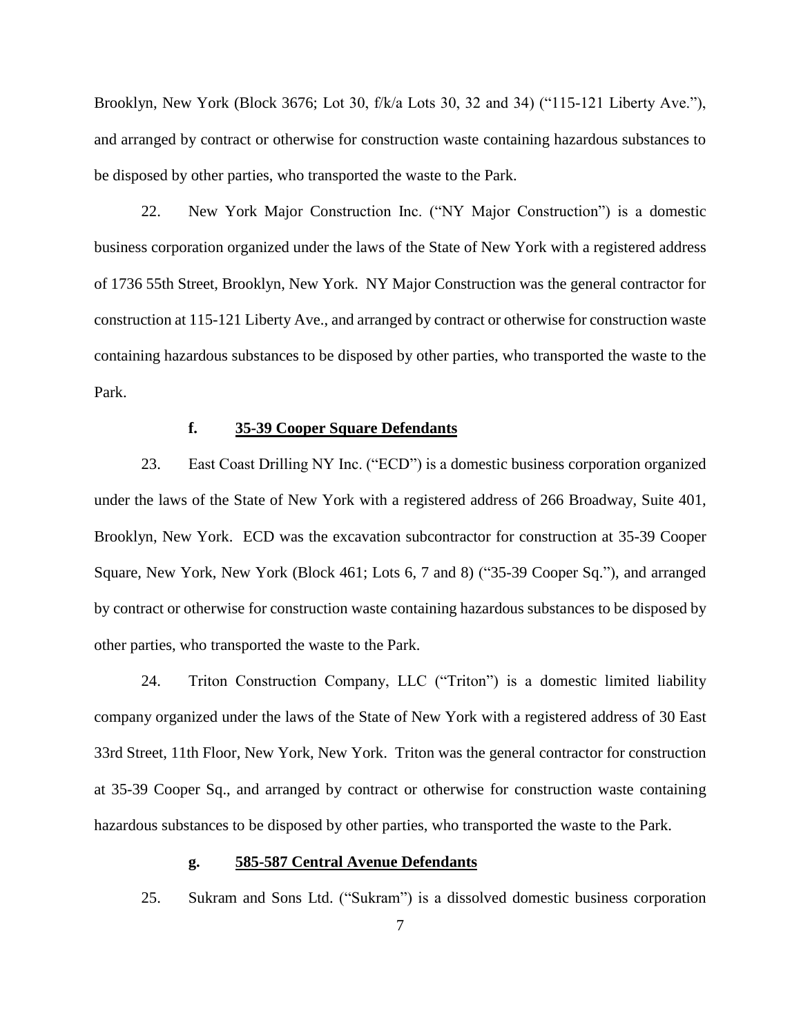Brooklyn, New York (Block 3676; Lot 30, f/k/a Lots 30, 32 and 34) ("115-121 Liberty Ave."), and arranged by contract or otherwise for construction waste containing hazardous substances to be disposed by other parties, who transported the waste to the Park.

22. New York Major Construction Inc. ("NY Major Construction") is a domestic business corporation organized under the laws of the State of New York with a registered address of 1736 55th Street, Brooklyn, New York. NY Major Construction was the general contractor for construction at 115-121 Liberty Ave., and arranged by contract or otherwise for construction waste containing hazardous substances to be disposed by other parties, who transported the waste to the Park.

# **f. 35-39 Cooper Square Defendants**

23. East Coast Drilling NY Inc. ("ECD") is a domestic business corporation organized under the laws of the State of New York with a registered address of 266 Broadway, Suite 401, Brooklyn, New York. ECD was the excavation subcontractor for construction at 35-39 Cooper Square, New York, New York (Block 461; Lots 6, 7 and 8) ("35-39 Cooper Sq."), and arranged by contract or otherwise for construction waste containing hazardous substances to be disposed by other parties, who transported the waste to the Park.

24. Triton Construction Company, LLC ("Triton") is a domestic limited liability company organized under the laws of the State of New York with a registered address of 30 East 33rd Street, 11th Floor, New York, New York. Triton was the general contractor for construction at 35-39 Cooper Sq., and arranged by contract or otherwise for construction waste containing hazardous substances to be disposed by other parties, who transported the waste to the Park.

# **g. 585-587 Central Avenue Defendants**

25. Sukram and Sons Ltd. ("Sukram") is a dissolved domestic business corporation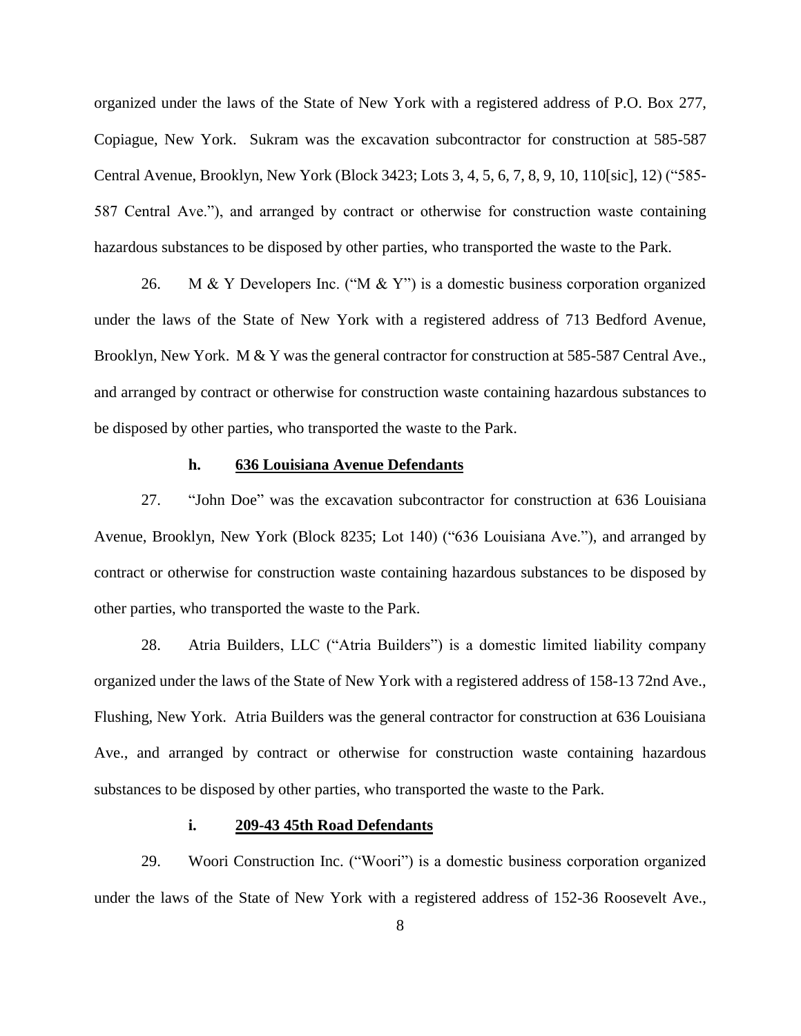organized under the laws of the State of New York with a registered address of P.O. Box 277, Copiague, New York. Sukram was the excavation subcontractor for construction at 585-587 Central Avenue, Brooklyn, New York (Block 3423; Lots 3, 4, 5, 6, 7, 8, 9, 10, 110[sic], 12) ("585- 587 Central Ave."), and arranged by contract or otherwise for construction waste containing hazardous substances to be disposed by other parties, who transported the waste to the Park.

26. M & Y Developers Inc. ("M & Y") is a domestic business corporation organized under the laws of the State of New York with a registered address of 713 Bedford Avenue, Brooklyn, New York. M & Y was the general contractor for construction at 585-587 Central Ave., and arranged by contract or otherwise for construction waste containing hazardous substances to be disposed by other parties, who transported the waste to the Park.

## **h. 636 Louisiana Avenue Defendants**

27. "John Doe" was the excavation subcontractor for construction at 636 Louisiana Avenue, Brooklyn, New York (Block 8235; Lot 140) ("636 Louisiana Ave."), and arranged by contract or otherwise for construction waste containing hazardous substances to be disposed by other parties, who transported the waste to the Park.

28. Atria Builders, LLC ("Atria Builders") is a domestic limited liability company organized under the laws of the State of New York with a registered address of 158-13 72nd Ave., Flushing, New York. Atria Builders was the general contractor for construction at 636 Louisiana Ave., and arranged by contract or otherwise for construction waste containing hazardous substances to be disposed by other parties, who transported the waste to the Park.

# **i. 209-43 45th Road Defendants**

29. Woori Construction Inc. ("Woori") is a domestic business corporation organized under the laws of the State of New York with a registered address of 152-36 Roosevelt Ave.,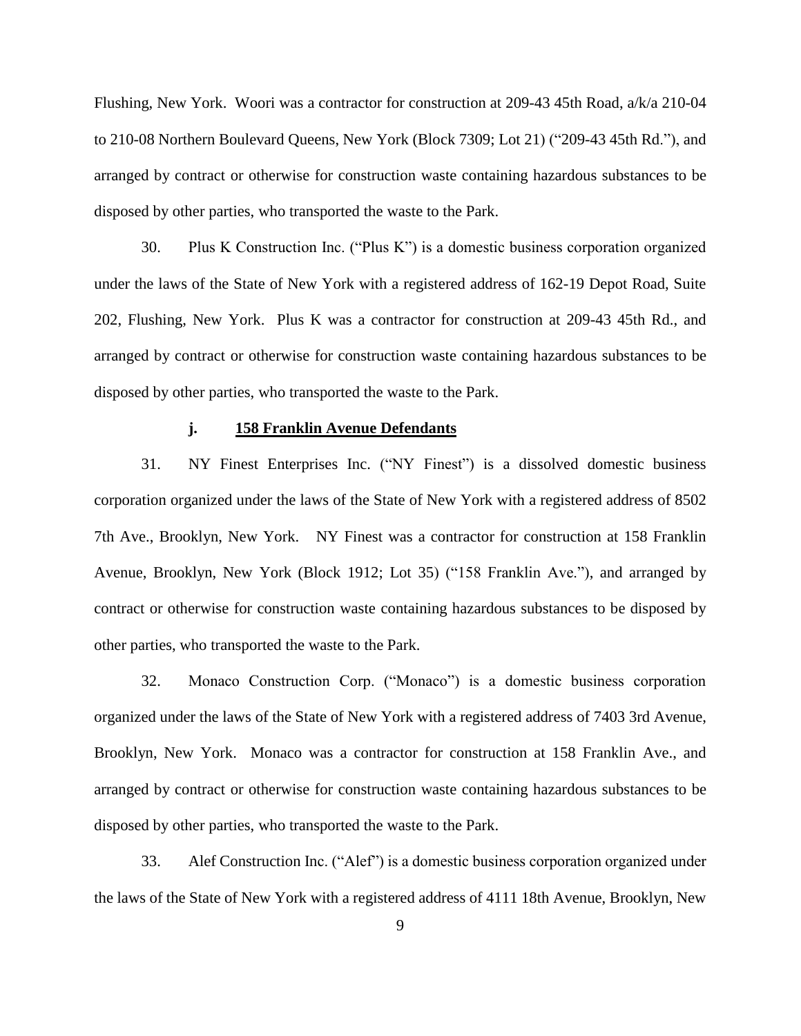Flushing, New York. Woori was a contractor for construction at 209-43 45th Road, a/k/a 210-04 to 210-08 Northern Boulevard Queens, New York (Block 7309; Lot 21) ("209-43 45th Rd."), and arranged by contract or otherwise for construction waste containing hazardous substances to be disposed by other parties, who transported the waste to the Park.

30. Plus K Construction Inc. ("Plus K") is a domestic business corporation organized under the laws of the State of New York with a registered address of 162-19 Depot Road, Suite 202, Flushing, New York. Plus K was a contractor for construction at 209-43 45th Rd., and arranged by contract or otherwise for construction waste containing hazardous substances to be disposed by other parties, who transported the waste to the Park.

# **j. 158 Franklin Avenue Defendants**

31. NY Finest Enterprises Inc. ("NY Finest") is a dissolved domestic business corporation organized under the laws of the State of New York with a registered address of 8502 7th Ave., Brooklyn, New York. NY Finest was a contractor for construction at 158 Franklin Avenue, Brooklyn, New York (Block 1912; Lot 35) ("158 Franklin Ave."), and arranged by contract or otherwise for construction waste containing hazardous substances to be disposed by other parties, who transported the waste to the Park.

32. Monaco Construction Corp. ("Monaco") is a domestic business corporation organized under the laws of the State of New York with a registered address of 7403 3rd Avenue, Brooklyn, New York. Monaco was a contractor for construction at 158 Franklin Ave., and arranged by contract or otherwise for construction waste containing hazardous substances to be disposed by other parties, who transported the waste to the Park.

33. Alef Construction Inc. ("Alef") is a domestic business corporation organized under the laws of the State of New York with a registered address of 4111 18th Avenue, Brooklyn, New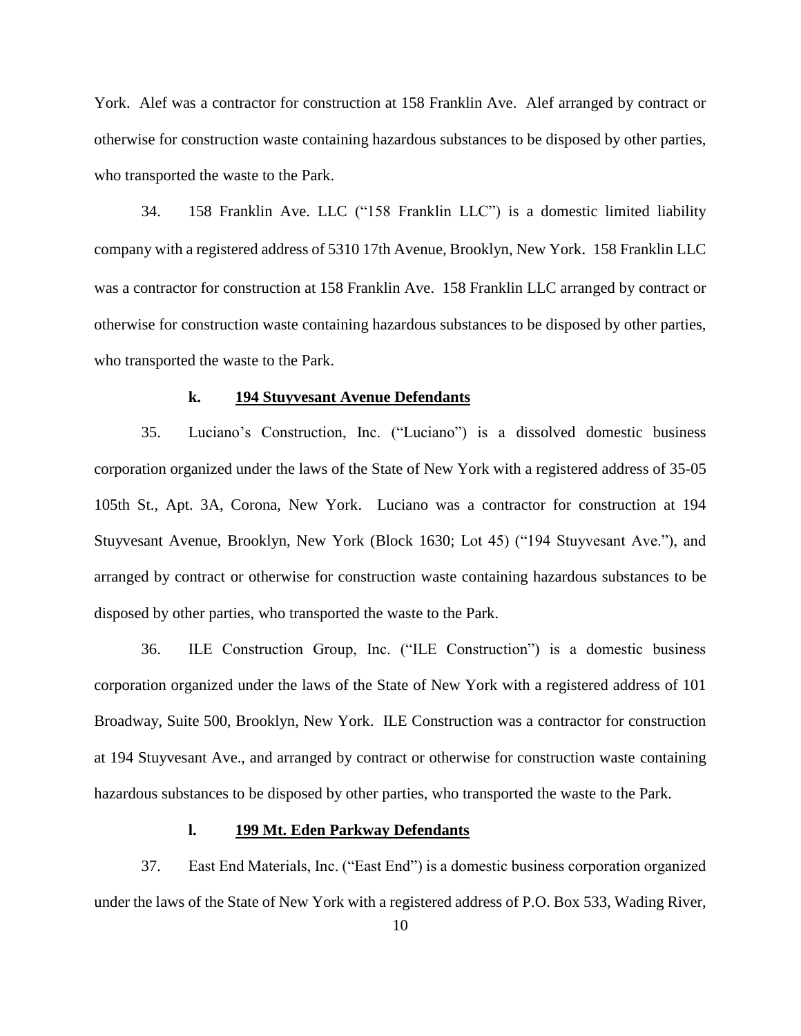York. Alef was a contractor for construction at 158 Franklin Ave. Alef arranged by contract or otherwise for construction waste containing hazardous substances to be disposed by other parties, who transported the waste to the Park.

34. 158 Franklin Ave. LLC ("158 Franklin LLC") is a domestic limited liability company with a registered address of 5310 17th Avenue, Brooklyn, New York. 158 Franklin LLC was a contractor for construction at 158 Franklin Ave. 158 Franklin LLC arranged by contract or otherwise for construction waste containing hazardous substances to be disposed by other parties, who transported the waste to the Park.

# **k. 194 Stuyvesant Avenue Defendants**

35. Luciano's Construction, Inc. ("Luciano") is a dissolved domestic business corporation organized under the laws of the State of New York with a registered address of 35-05 105th St., Apt. 3A, Corona, New York. Luciano was a contractor for construction at 194 Stuyvesant Avenue, Brooklyn, New York (Block 1630; Lot 45) ("194 Stuyvesant Ave."), and arranged by contract or otherwise for construction waste containing hazardous substances to be disposed by other parties, who transported the waste to the Park.

36. ILE Construction Group, Inc. ("ILE Construction") is a domestic business corporation organized under the laws of the State of New York with a registered address of 101 Broadway, Suite 500, Brooklyn, New York. ILE Construction was a contractor for construction at 194 Stuyvesant Ave., and arranged by contract or otherwise for construction waste containing hazardous substances to be disposed by other parties, who transported the waste to the Park.

# **l. 199 Mt. Eden Parkway Defendants**

37. East End Materials, Inc. ("East End") is a domestic business corporation organized under the laws of the State of New York with a registered address of P.O. Box 533, Wading River,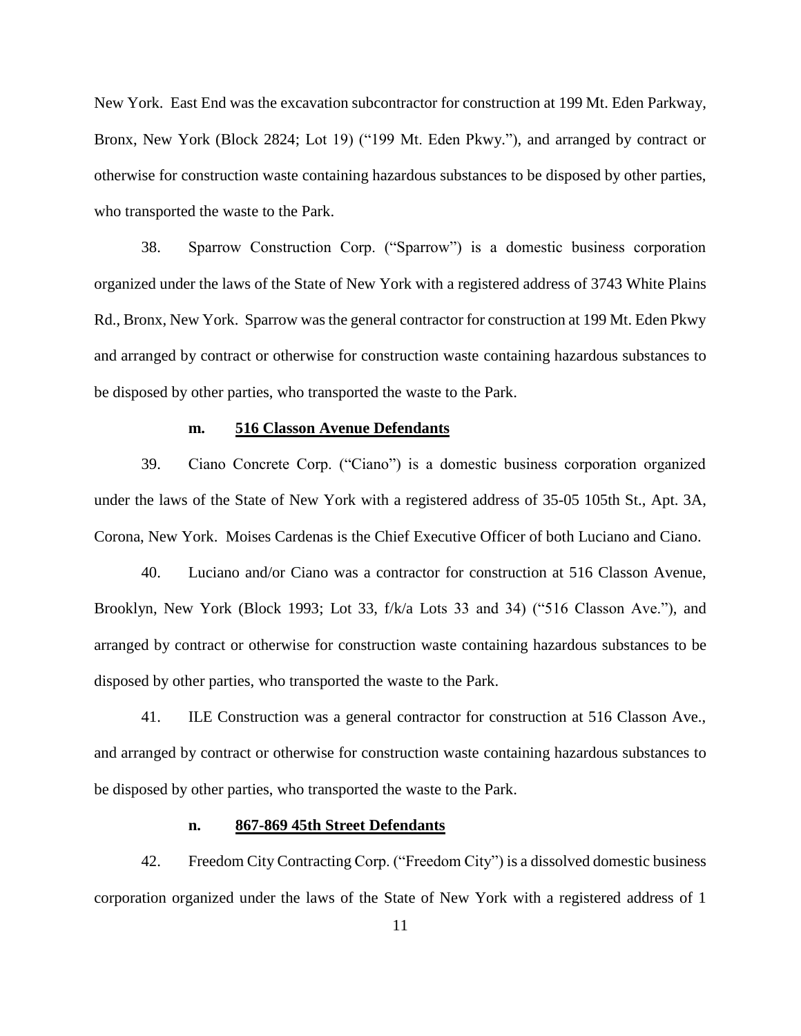New York. East End was the excavation subcontractor for construction at 199 Mt. Eden Parkway, Bronx, New York (Block 2824; Lot 19) ("199 Mt. Eden Pkwy."), and arranged by contract or otherwise for construction waste containing hazardous substances to be disposed by other parties, who transported the waste to the Park.

38. Sparrow Construction Corp. ("Sparrow") is a domestic business corporation organized under the laws of the State of New York with a registered address of 3743 White Plains Rd., Bronx, New York. Sparrow was the general contractor for construction at 199 Mt. Eden Pkwy and arranged by contract or otherwise for construction waste containing hazardous substances to be disposed by other parties, who transported the waste to the Park.

# **m. 516 Classon Avenue Defendants**

39. Ciano Concrete Corp. ("Ciano") is a domestic business corporation organized under the laws of the State of New York with a registered address of 35-05 105th St., Apt. 3A, Corona, New York. Moises Cardenas is the Chief Executive Officer of both Luciano and Ciano.

40. Luciano and/or Ciano was a contractor for construction at 516 Classon Avenue, Brooklyn, New York (Block 1993; Lot 33, f/k/a Lots 33 and 34) ("516 Classon Ave."), and arranged by contract or otherwise for construction waste containing hazardous substances to be disposed by other parties, who transported the waste to the Park.

41. ILE Construction was a general contractor for construction at 516 Classon Ave., and arranged by contract or otherwise for construction waste containing hazardous substances to be disposed by other parties, who transported the waste to the Park.

## **n. 867-869 45th Street Defendants**

42. Freedom City Contracting Corp. ("Freedom City") is a dissolved domestic business corporation organized under the laws of the State of New York with a registered address of 1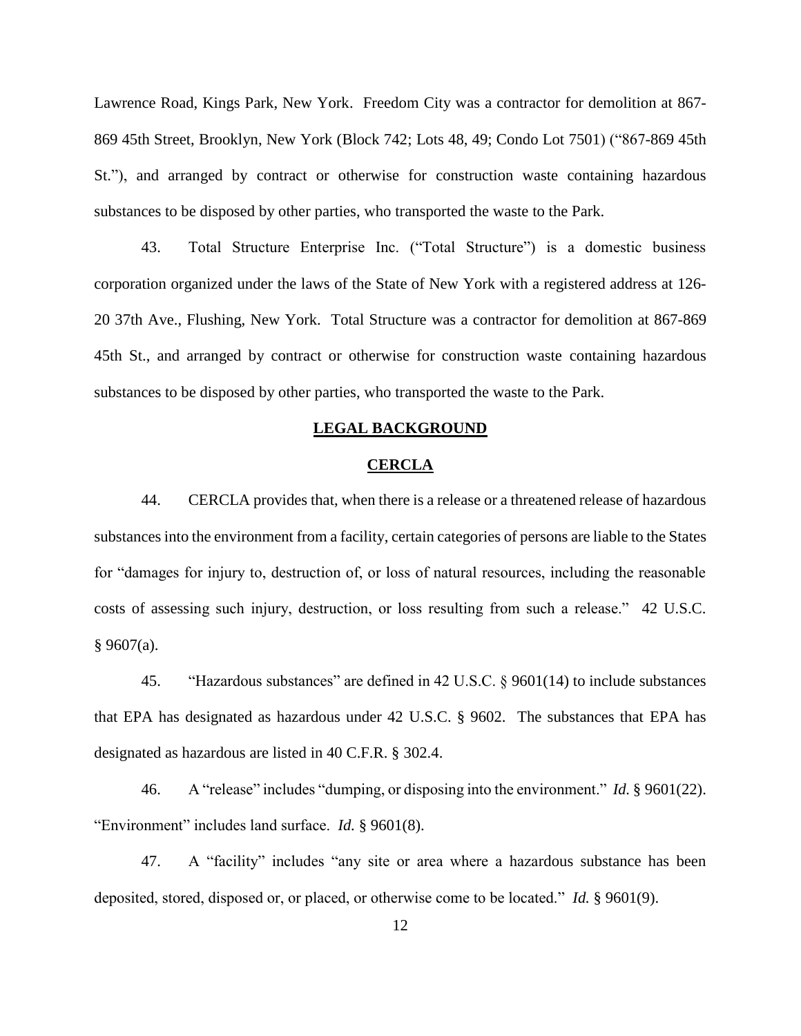Lawrence Road, Kings Park, New York. Freedom City was a contractor for demolition at 867- 869 45th Street, Brooklyn, New York (Block 742; Lots 48, 49; Condo Lot 7501) ("867-869 45th St."), and arranged by contract or otherwise for construction waste containing hazardous substances to be disposed by other parties, who transported the waste to the Park.

43. Total Structure Enterprise Inc. ("Total Structure") is a domestic business corporation organized under the laws of the State of New York with a registered address at 126- 20 37th Ave., Flushing, New York. Total Structure was a contractor for demolition at 867-869 45th St., and arranged by contract or otherwise for construction waste containing hazardous substances to be disposed by other parties, who transported the waste to the Park.

#### **LEGAL BACKGROUND**

#### **CERCLA**

44. CERCLA provides that, when there is a release or a threatened release of hazardous substances into the environment from a facility, certain categories of persons are liable to the States for "damages for injury to, destruction of, or loss of natural resources, including the reasonable costs of assessing such injury, destruction, or loss resulting from such a release." 42 U.S.C.  $§$  9607(a).

45. "Hazardous substances" are defined in 42 U.S.C. § 9601(14) to include substances that EPA has designated as hazardous under 42 U.S.C. § 9602. The substances that EPA has designated as hazardous are listed in 40 C.F.R. § 302.4.

46. A "release" includes "dumping, or disposing into the environment." *Id.* § 9601(22). "Environment" includes land surface. *Id.* § 9601(8).

47. A "facility" includes "any site or area where a hazardous substance has been deposited, stored, disposed or, or placed, or otherwise come to be located." *Id.* § 9601(9).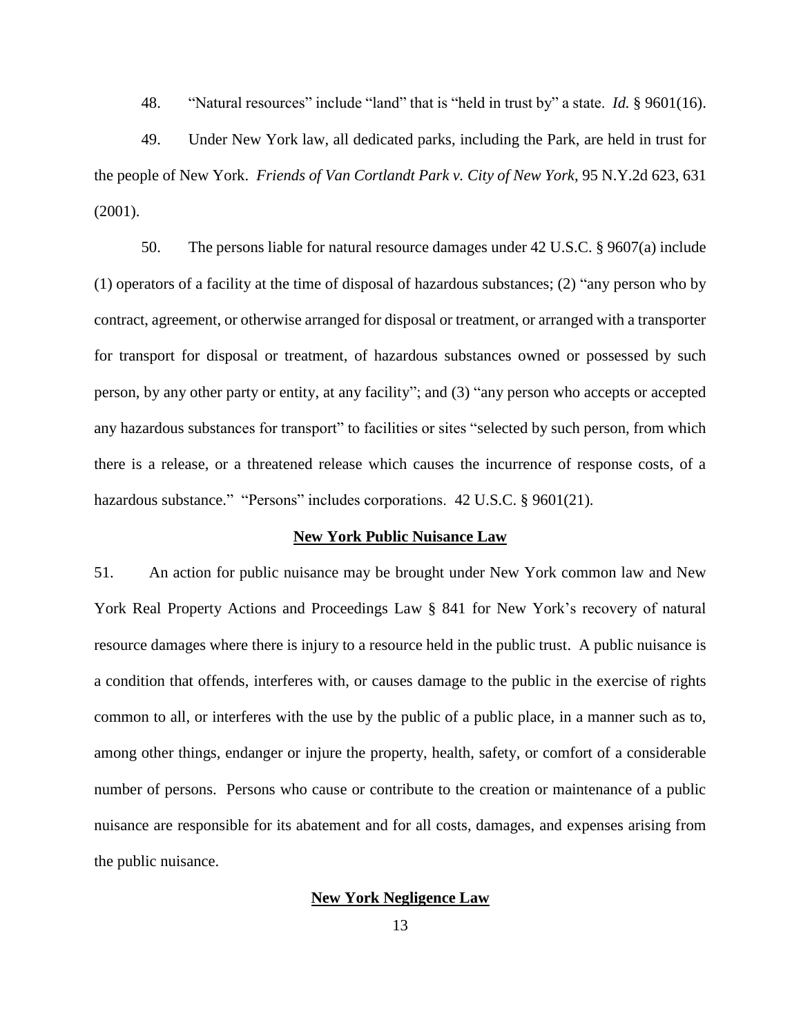48. "Natural resources" include "land" that is "held in trust by" a state. *Id.* § 9601(16).

49. Under New York law, all dedicated parks, including the Park, are held in trust for the people of New York. *Friends of Van Cortlandt Park v. City of New York*, 95 N.Y.2d 623, 631 (2001).

50. The persons liable for natural resource damages under 42 U.S.C. § 9607(a) include (1) operators of a facility at the time of disposal of hazardous substances; (2) "any person who by contract, agreement, or otherwise arranged for disposal or treatment, or arranged with a transporter for transport for disposal or treatment, of hazardous substances owned or possessed by such person, by any other party or entity, at any facility"; and (3) "any person who accepts or accepted any hazardous substances for transport" to facilities or sites "selected by such person, from which there is a release, or a threatened release which causes the incurrence of response costs, of a hazardous substance." "Persons" includes corporations. 42 U.S.C. § 9601(21).

# **New York Public Nuisance Law**

51. An action for public nuisance may be brought under New York common law and New York Real Property Actions and Proceedings Law § 841 for New York's recovery of natural resource damages where there is injury to a resource held in the public trust. A public nuisance is a condition that offends, interferes with, or causes damage to the public in the exercise of rights common to all, or interferes with the use by the public of a public place, in a manner such as to, among other things, endanger or injure the property, health, safety, or comfort of a considerable number of persons. Persons who cause or contribute to the creation or maintenance of a public nuisance are responsible for its abatement and for all costs, damages, and expenses arising from the public nuisance.

### **New York Negligence Law**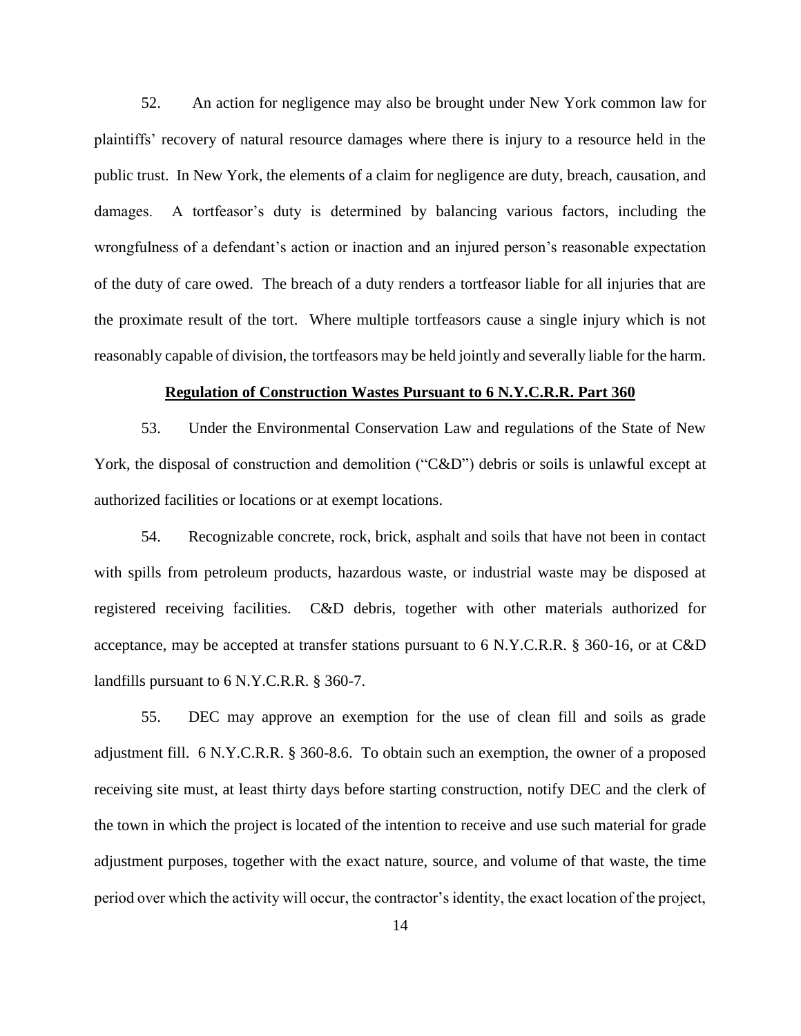52. An action for negligence may also be brought under New York common law for plaintiffs' recovery of natural resource damages where there is injury to a resource held in the public trust. In New York, the elements of a claim for negligence are duty, breach, causation, and damages. A tortfeasor's duty is determined by balancing various factors, including the wrongfulness of a defendant's action or inaction and an injured person's reasonable expectation of the duty of care owed. The breach of a duty renders a tortfeasor liable for all injuries that are the proximate result of the tort. Where multiple tortfeasors cause a single injury which is not reasonably capable of division, the tortfeasors may be held jointly and severally liable for the harm.

## **Regulation of Construction Wastes Pursuant to 6 N.Y.C.R.R. Part 360**

53. Under the Environmental Conservation Law and regulations of the State of New York, the disposal of construction and demolition ("C&D") debris or soils is unlawful except at authorized facilities or locations or at exempt locations.

54. Recognizable concrete, rock, brick, asphalt and soils that have not been in contact with spills from petroleum products, hazardous waste, or industrial waste may be disposed at registered receiving facilities. C&D debris, together with other materials authorized for acceptance, may be accepted at transfer stations pursuant to 6 N.Y.C.R.R. § 360-16, or at C&D landfills pursuant to 6 N.Y.C.R.R. § 360-7.

55. DEC may approve an exemption for the use of clean fill and soils as grade adjustment fill. 6 N.Y.C.R.R. § 360-8.6. To obtain such an exemption, the owner of a proposed receiving site must, at least thirty days before starting construction, notify DEC and the clerk of the town in which the project is located of the intention to receive and use such material for grade adjustment purposes, together with the exact nature, source, and volume of that waste, the time period over which the activity will occur, the contractor's identity, the exact location of the project,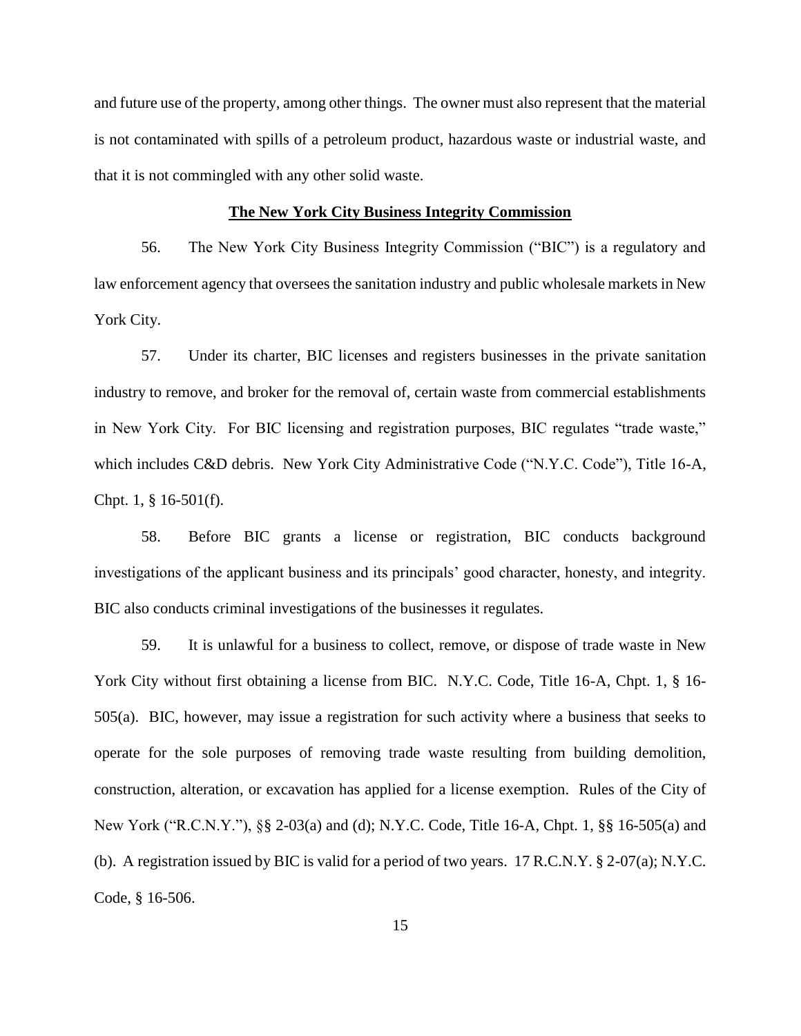and future use of the property, among other things. The owner must also represent that the material is not contaminated with spills of a petroleum product, hazardous waste or industrial waste, and that it is not commingled with any other solid waste.

### **The New York City Business Integrity Commission**

56. The New York City Business Integrity Commission ("BIC") is a regulatory and law enforcement agency that oversees the sanitation industry and public wholesale markets in New York City.

57. Under its charter, BIC licenses and registers businesses in the private sanitation industry to remove, and broker for the removal of, certain waste from commercial establishments in New York City. For BIC licensing and registration purposes, BIC regulates "trade waste," which includes C&D debris. New York City Administrative Code ("N.Y.C. Code"), Title 16-A, Chpt. 1, § 16-501(f).

58. Before BIC grants a license or registration, BIC conducts background investigations of the applicant business and its principals' good character, honesty, and integrity. BIC also conducts criminal investigations of the businesses it regulates.

59. It is unlawful for a business to collect, remove, or dispose of trade waste in New York City without first obtaining a license from BIC. N.Y.C. Code, Title 16-A, Chpt. 1, § 16-505(a). BIC, however, may issue a registration for such activity where a business that seeks to operate for the sole purposes of removing trade waste resulting from building demolition, construction, alteration, or excavation has applied for a license exemption. Rules of the City of New York ("R.C.N.Y."), §§ 2-03(a) and (d); N.Y.C. Code, Title 16-A, Chpt. 1, §§ 16-505(a) and (b). A registration issued by BIC is valid for a period of two years. 17 R.C.N.Y. § 2-07(a); N.Y.C. Code, § 16-506.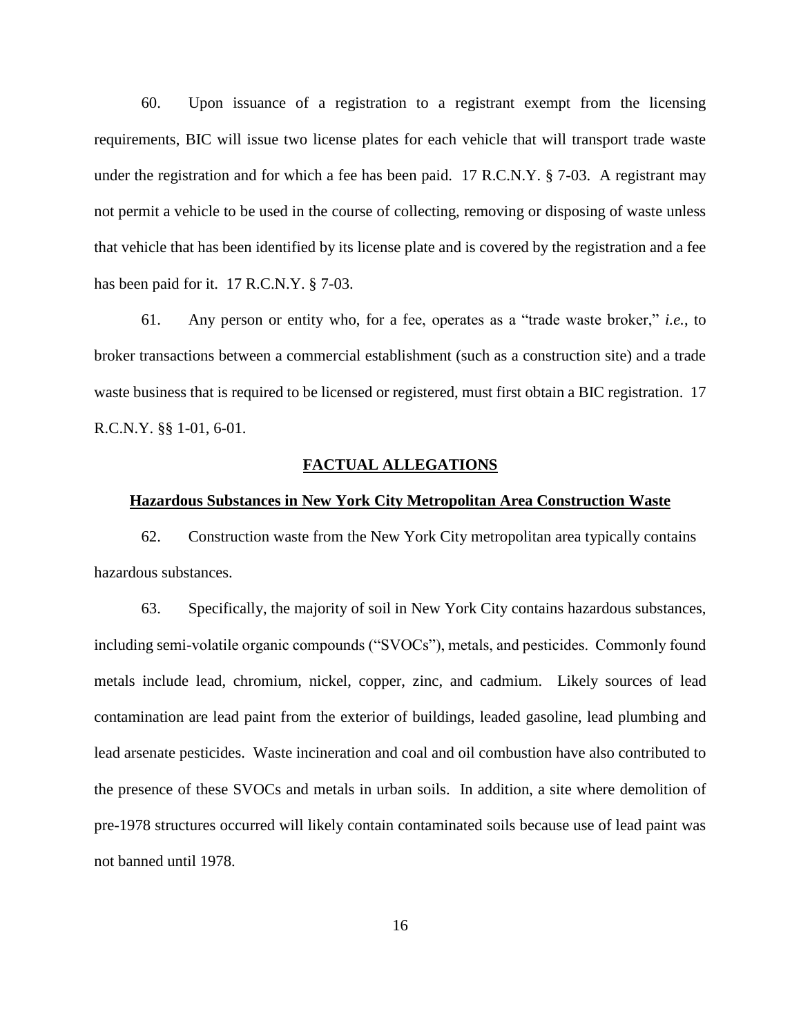60. Upon issuance of a registration to a registrant exempt from the licensing requirements, BIC will issue two license plates for each vehicle that will transport trade waste under the registration and for which a fee has been paid. 17 R.C.N.Y.  $\S$  7-03. A registrant may not permit a vehicle to be used in the course of collecting, removing or disposing of waste unless that vehicle that has been identified by its license plate and is covered by the registration and a fee has been paid for it. 17 R.C.N.Y. § 7-03.

61. Any person or entity who, for a fee, operates as a "trade waste broker," *i.e.*, to broker transactions between a commercial establishment (such as a construction site) and a trade waste business that is required to be licensed or registered, must first obtain a BIC registration. 17 R.C.N.Y. §§ 1-01, 6-01.

## **FACTUAL ALLEGATIONS**

# **Hazardous Substances in New York City Metropolitan Area Construction Waste**

62. Construction waste from the New York City metropolitan area typically contains hazardous substances.

63. Specifically, the majority of soil in New York City contains hazardous substances, including semi-volatile organic compounds ("SVOCs"), metals, and pesticides. Commonly found metals include lead, chromium, nickel, copper, zinc, and cadmium. Likely sources of lead contamination are lead paint from the exterior of buildings, leaded gasoline, lead plumbing and lead arsenate pesticides. Waste incineration and coal and oil combustion have also contributed to the presence of these SVOCs and metals in urban soils. In addition, a site where demolition of pre-1978 structures occurred will likely contain contaminated soils because use of lead paint was not banned until 1978.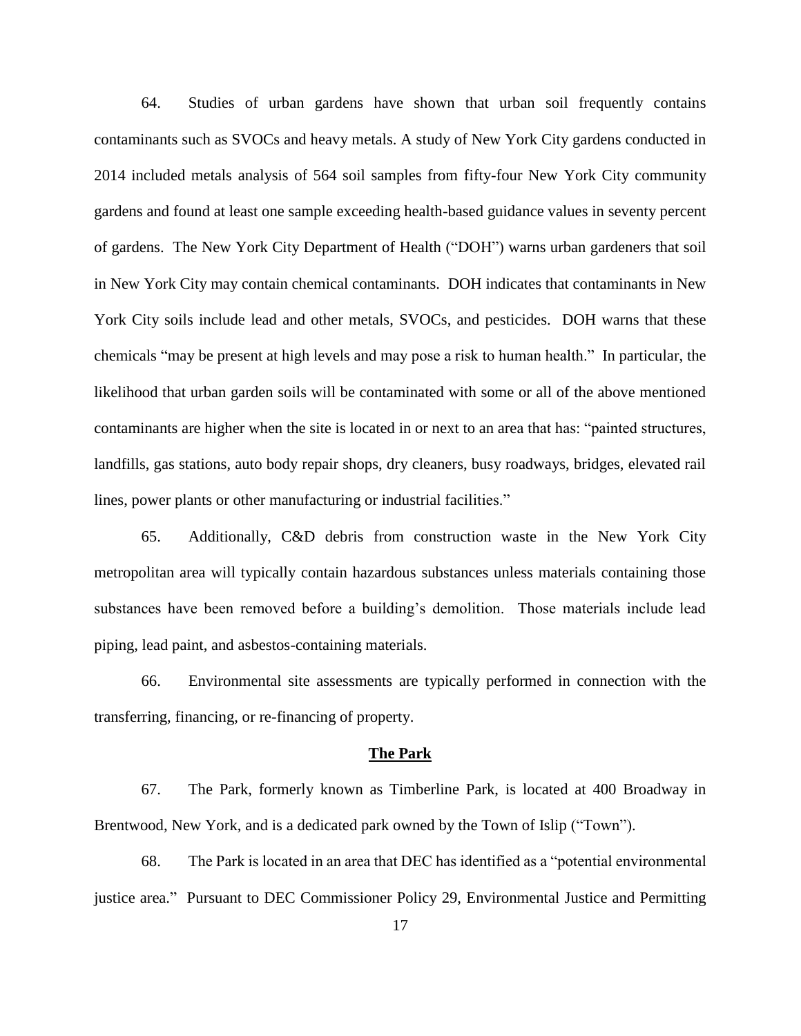64. Studies of urban gardens have shown that urban soil frequently contains contaminants such as SVOCs and heavy metals. A study of New York City gardens conducted in 2014 included metals analysis of 564 soil samples from fifty-four New York City community gardens and found at least one sample exceeding health-based guidance values in seventy percent of gardens. The New York City Department of Health ("DOH") warns urban gardeners that soil in New York City may contain chemical contaminants. DOH indicates that contaminants in New York City soils include lead and other metals, SVOCs, and pesticides. DOH warns that these chemicals "may be present at high levels and may pose a risk to human health." In particular, the likelihood that urban garden soils will be contaminated with some or all of the above mentioned contaminants are higher when the site is located in or next to an area that has: "painted structures, landfills, gas stations, auto body repair shops, dry cleaners, busy roadways, bridges, elevated rail lines, power plants or other manufacturing or industrial facilities."

65. Additionally, C&D debris from construction waste in the New York City metropolitan area will typically contain hazardous substances unless materials containing those substances have been removed before a building's demolition. Those materials include lead piping, lead paint, and asbestos-containing materials.

66. Environmental site assessments are typically performed in connection with the transferring, financing, or re-financing of property.

#### **The Park**

67. The Park, formerly known as Timberline Park, is located at 400 Broadway in Brentwood, New York, and is a dedicated park owned by the Town of Islip ("Town").

68. The Park is located in an area that DEC has identified as a "potential environmental justice area." Pursuant to DEC Commissioner Policy 29, Environmental Justice and Permitting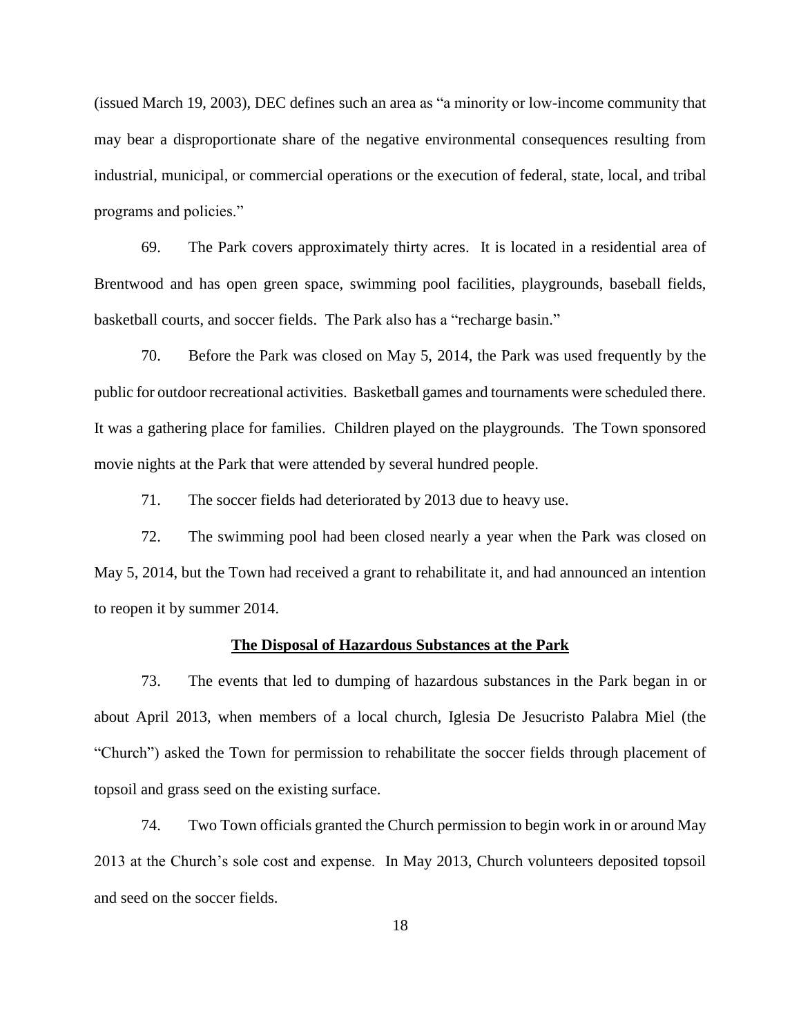(issued March 19, 2003), DEC defines such an area as "a minority or low-income community that may bear a disproportionate share of the negative environmental consequences resulting from industrial, municipal, or commercial operations or the execution of federal, state, local, and tribal programs and policies."

69. The Park covers approximately thirty acres. It is located in a residential area of Brentwood and has open green space, swimming pool facilities, playgrounds, baseball fields, basketball courts, and soccer fields. The Park also has a "recharge basin."

70. Before the Park was closed on May 5, 2014, the Park was used frequently by the public for outdoor recreational activities. Basketball games and tournaments were scheduled there. It was a gathering place for families. Children played on the playgrounds. The Town sponsored movie nights at the Park that were attended by several hundred people.

71. The soccer fields had deteriorated by 2013 due to heavy use.

72. The swimming pool had been closed nearly a year when the Park was closed on May 5, 2014, but the Town had received a grant to rehabilitate it, and had announced an intention to reopen it by summer 2014.

### **The Disposal of Hazardous Substances at the Park**

73. The events that led to dumping of hazardous substances in the Park began in or about April 2013, when members of a local church, Iglesia De Jesucristo Palabra Miel (the "Church") asked the Town for permission to rehabilitate the soccer fields through placement of topsoil and grass seed on the existing surface.

74. Two Town officials granted the Church permission to begin work in or around May 2013 at the Church's sole cost and expense. In May 2013, Church volunteers deposited topsoil and seed on the soccer fields.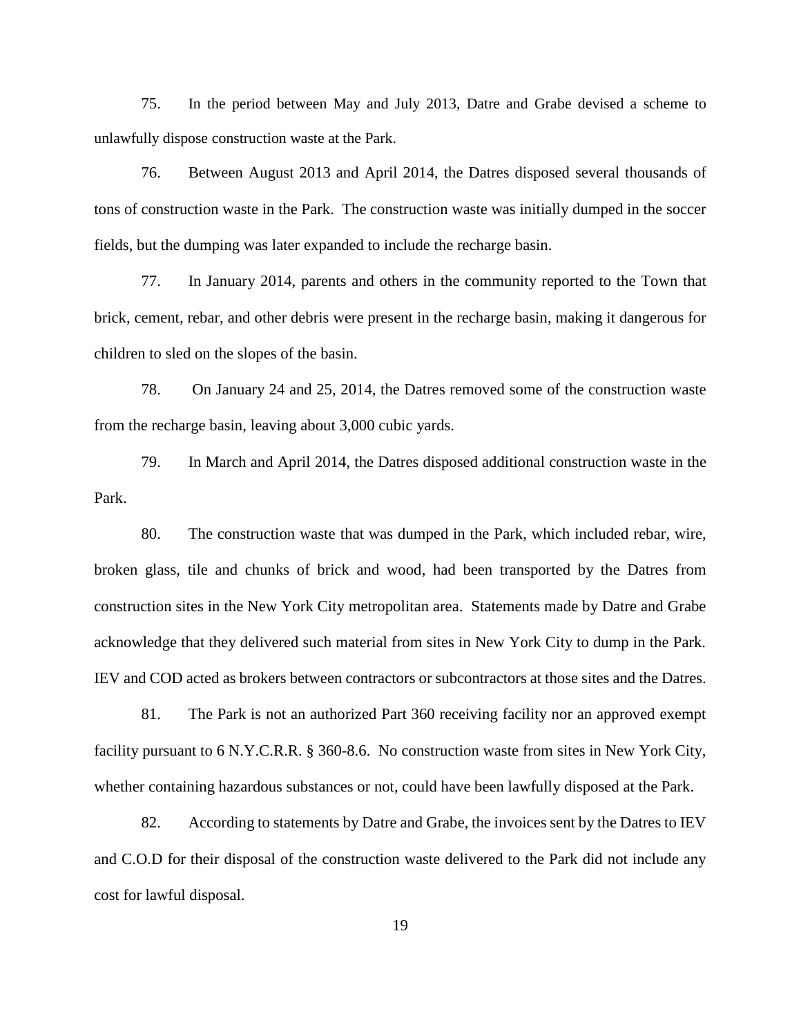75. In the period between May and July 2013, Datre and Grabe devised a scheme to unlawfully dispose construction waste at the Park.

76. Between August 2013 and April 2014, the Datres disposed several thousands of tons of construction waste in the Park. The construction waste was initially dumped in the soccer fields, but the dumping was later expanded to include the recharge basin.

77. In January 2014, parents and others in the community reported to the Town that brick, cement, rebar, and other debris were present in the recharge basin, making it dangerous for children to sled on the slopes of the basin.

78. On January 24 and 25, 2014, the Datres removed some of the construction waste from the recharge basin, leaving about 3,000 cubic yards.

79. In March and April 2014, the Datres disposed additional construction waste in the Park.

80. The construction waste that was dumped in the Park, which included rebar, wire, broken glass, tile and chunks of brick and wood, had been transported by the Datres from construction sites in the New York City metropolitan area. Statements made by Datre and Grabe acknowledge that they delivered such material from sites in New York City to dump in the Park. IEV and COD acted as brokers between contractors or subcontractors at those sites and the Datres.

81. The Park is not an authorized Part 360 receiving facility nor an approved exempt facility pursuant to 6 N.Y.C.R.R. § 360-8.6. No construction waste from sites in New York City, whether containing hazardous substances or not, could have been lawfully disposed at the Park.

82. According to statements by Datre and Grabe, the invoices sent by the Datres to IEV and C.O.D for their disposal of the construction waste delivered to the Park did not include any cost for lawful disposal.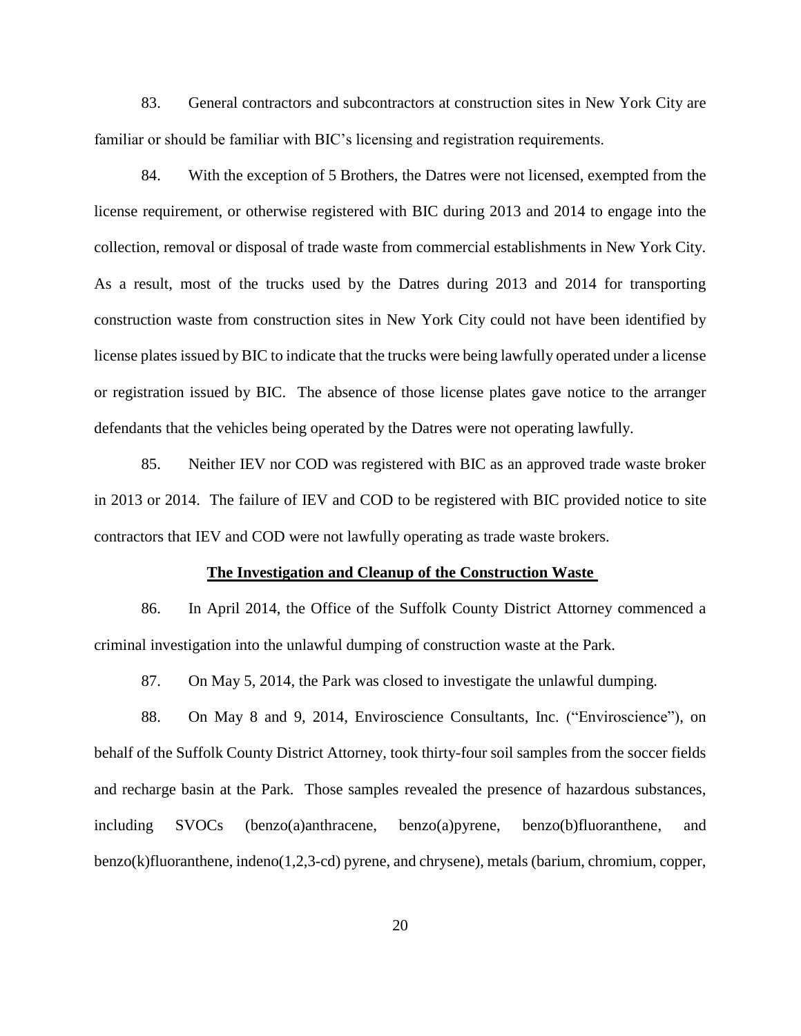83. General contractors and subcontractors at construction sites in New York City are familiar or should be familiar with BIC's licensing and registration requirements.

84. With the exception of 5 Brothers, the Datres were not licensed, exempted from the license requirement, or otherwise registered with BIC during 2013 and 2014 to engage into the collection, removal or disposal of trade waste from commercial establishments in New York City. As a result, most of the trucks used by the Datres during 2013 and 2014 for transporting construction waste from construction sites in New York City could not have been identified by license plates issued by BIC to indicate that the trucks were being lawfully operated under a license or registration issued by BIC. The absence of those license plates gave notice to the arranger defendants that the vehicles being operated by the Datres were not operating lawfully.

85. Neither IEV nor COD was registered with BIC as an approved trade waste broker in 2013 or 2014. The failure of IEV and COD to be registered with BIC provided notice to site contractors that IEV and COD were not lawfully operating as trade waste brokers.

#### **The Investigation and Cleanup of the Construction Waste**

86. In April 2014, the Office of the Suffolk County District Attorney commenced a criminal investigation into the unlawful dumping of construction waste at the Park.

87. On May 5, 2014, the Park was closed to investigate the unlawful dumping.

88. On May 8 and 9, 2014, Enviroscience Consultants, Inc. ("Enviroscience"), on behalf of the Suffolk County District Attorney, took thirty-four soil samples from the soccer fields and recharge basin at the Park. Those samples revealed the presence of hazardous substances, including SVOCs (benzo(a)anthracene, benzo(a)pyrene, benzo(b)fluoranthene, and benzo(k)fluoranthene, indeno(1,2,3-cd) pyrene, and chrysene), metals (barium, chromium, copper,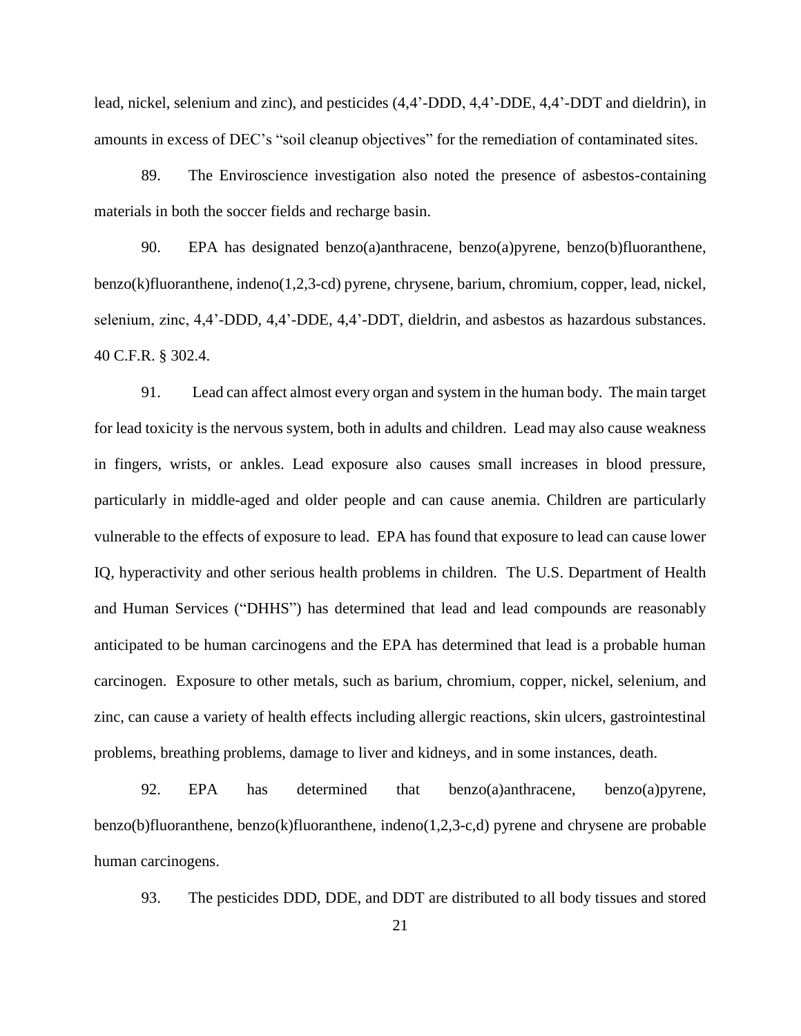lead, nickel, selenium and zinc), and pesticides (4,4'-DDD, 4,4'-DDE, 4,4'-DDT and dieldrin), in amounts in excess of DEC's "soil cleanup objectives" for the remediation of contaminated sites.

89. The Enviroscience investigation also noted the presence of asbestos-containing materials in both the soccer fields and recharge basin.

90. EPA has designated benzo(a)anthracene, benzo(a)pyrene, benzo(b)fluoranthene, benzo(k)fluoranthene, indeno(1,2,3-cd) pyrene, chrysene, barium, chromium, copper, lead, nickel, selenium, zinc, 4,4'-DDD, 4,4'-DDE, 4,4'-DDT, dieldrin, and asbestos as hazardous substances. 40 C.F.R. § 302.4.

91. Lead can affect almost every organ and system in the human body. The main target for lead toxicity is the nervous system, both in adults and children. Lead may also cause weakness in fingers, wrists, or ankles. Lead exposure also causes small increases in blood pressure, particularly in middle-aged and older people and can cause anemia. Children are particularly vulnerable to the effects of exposure to lead. EPA has found that exposure to lead can cause lower IQ, hyperactivity and other serious health problems in children. The U.S. Department of Health and Human Services ("DHHS") has determined that lead and lead compounds are reasonably anticipated to be human carcinogens and the EPA has determined that lead is a probable human carcinogen. Exposure to other metals, such as barium, chromium, copper, nickel, selenium, and zinc, can cause a variety of health effects including allergic reactions, skin ulcers, gastrointestinal problems, breathing problems, damage to liver and kidneys, and in some instances, death.

92. EPA has determined that benzo(a)anthracene, benzo(a)pyrene, benzo(b)fluoranthene, benzo(k)fluoranthene, indeno(1,2,3-c,d) pyrene and chrysene are probable human carcinogens.

93. The pesticides DDD, DDE, and DDT are distributed to all body tissues and stored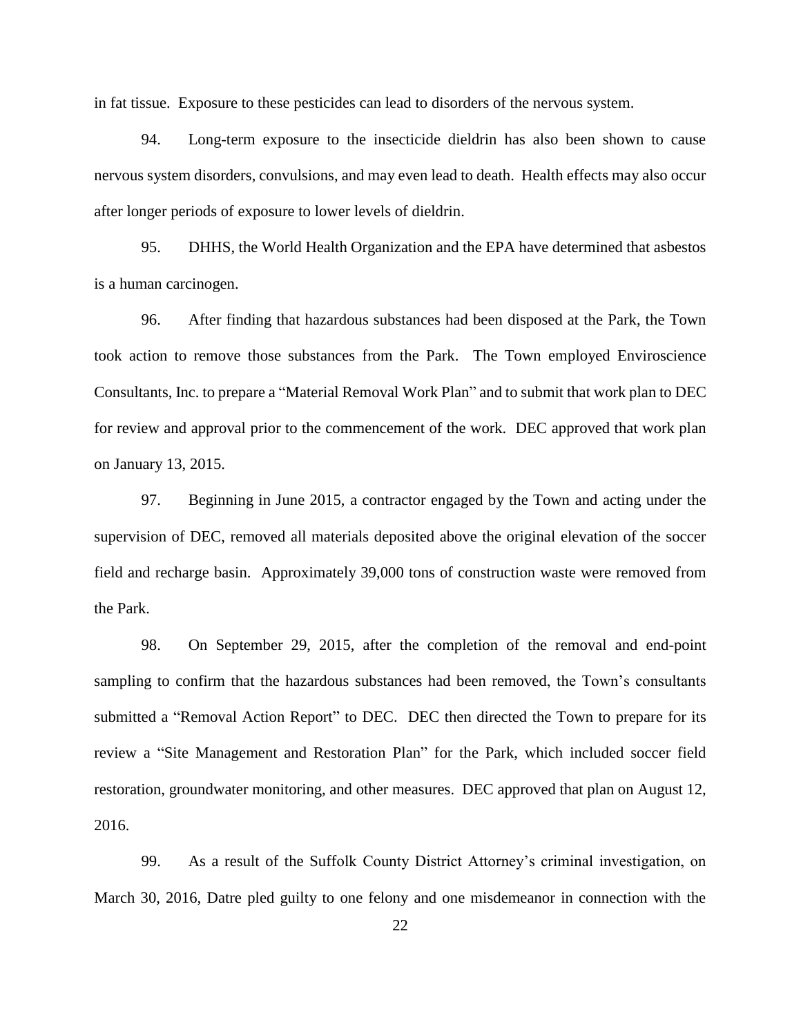in fat tissue. Exposure to these pesticides can lead to disorders of the nervous system.

94. Long-term exposure to the insecticide dieldrin has also been shown to cause nervous system disorders, convulsions, and may even lead to death. Health effects may also occur after longer periods of exposure to lower levels of dieldrin.

95. DHHS, the World Health Organization and the EPA have determined that asbestos is a human carcinogen.

96. After finding that hazardous substances had been disposed at the Park, the Town took action to remove those substances from the Park. The Town employed Enviroscience Consultants, Inc. to prepare a "Material Removal Work Plan" and to submit that work plan to DEC for review and approval prior to the commencement of the work. DEC approved that work plan on January 13, 2015.

97. Beginning in June 2015, a contractor engaged by the Town and acting under the supervision of DEC, removed all materials deposited above the original elevation of the soccer field and recharge basin. Approximately 39,000 tons of construction waste were removed from the Park.

98. On September 29, 2015, after the completion of the removal and end-point sampling to confirm that the hazardous substances had been removed, the Town's consultants submitted a "Removal Action Report" to DEC. DEC then directed the Town to prepare for its review a "Site Management and Restoration Plan" for the Park, which included soccer field restoration, groundwater monitoring, and other measures. DEC approved that plan on August 12, 2016.

99. As a result of the Suffolk County District Attorney's criminal investigation, on March 30, 2016, Datre pled guilty to one felony and one misdemeanor in connection with the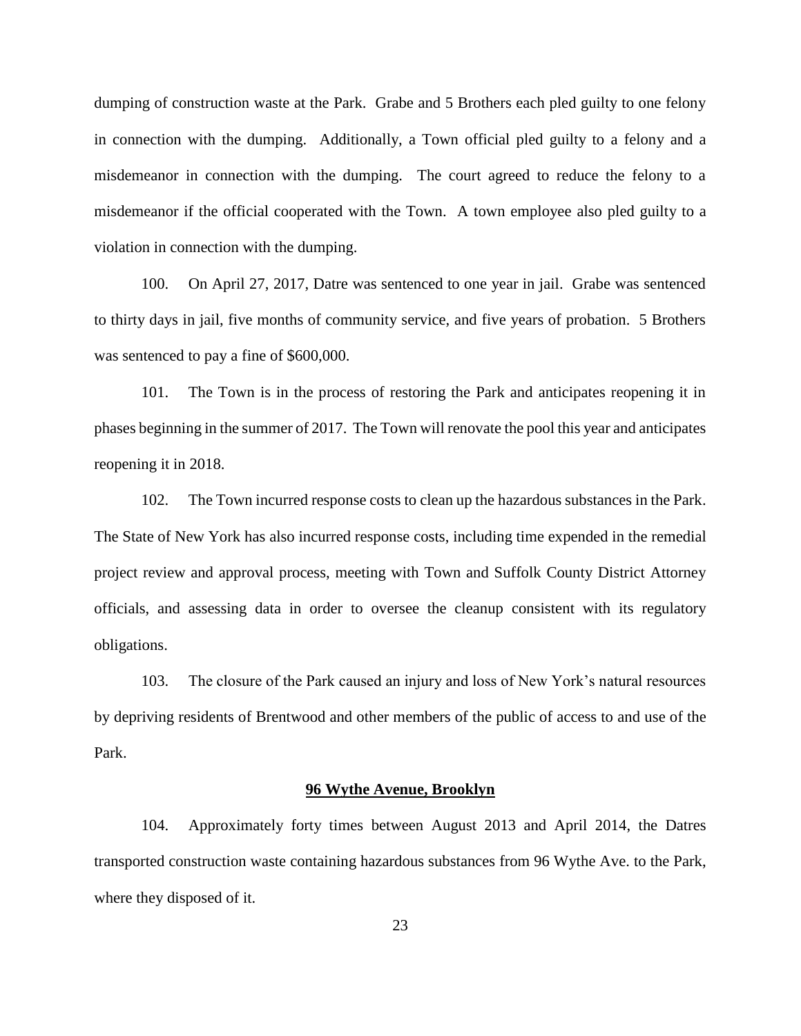dumping of construction waste at the Park. Grabe and 5 Brothers each pled guilty to one felony in connection with the dumping. Additionally, a Town official pled guilty to a felony and a misdemeanor in connection with the dumping. The court agreed to reduce the felony to a misdemeanor if the official cooperated with the Town. A town employee also pled guilty to a violation in connection with the dumping.

100. On April 27, 2017, Datre was sentenced to one year in jail. Grabe was sentenced to thirty days in jail, five months of community service, and five years of probation. 5 Brothers was sentenced to pay a fine of \$600,000.

101. The Town is in the process of restoring the Park and anticipates reopening it in phases beginning in the summer of 2017. The Town will renovate the pool this year and anticipates reopening it in 2018.

102. The Town incurred response costs to clean up the hazardous substances in the Park. The State of New York has also incurred response costs, including time expended in the remedial project review and approval process, meeting with Town and Suffolk County District Attorney officials, and assessing data in order to oversee the cleanup consistent with its regulatory obligations.

103. The closure of the Park caused an injury and loss of New York's natural resources by depriving residents of Brentwood and other members of the public of access to and use of the Park.

#### **96 Wythe Avenue, Brooklyn**

104. Approximately forty times between August 2013 and April 2014, the Datres transported construction waste containing hazardous substances from 96 Wythe Ave. to the Park, where they disposed of it.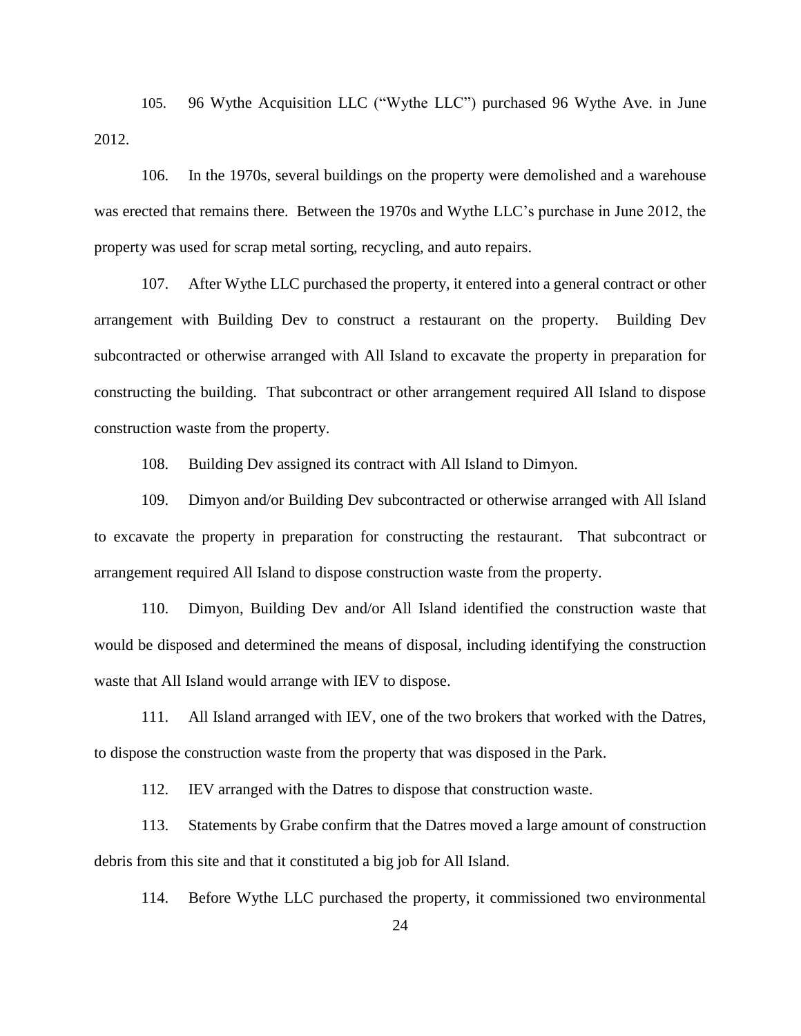105. 96 Wythe Acquisition LLC ("Wythe LLC") purchased 96 Wythe Ave. in June 2012.

106. In the 1970s, several buildings on the property were demolished and a warehouse was erected that remains there. Between the 1970s and Wythe LLC's purchase in June 2012, the property was used for scrap metal sorting, recycling, and auto repairs.

107. After Wythe LLC purchased the property, it entered into a general contract or other arrangement with Building Dev to construct a restaurant on the property. Building Dev subcontracted or otherwise arranged with All Island to excavate the property in preparation for constructing the building. That subcontract or other arrangement required All Island to dispose construction waste from the property.

108. Building Dev assigned its contract with All Island to Dimyon.

109. Dimyon and/or Building Dev subcontracted or otherwise arranged with All Island to excavate the property in preparation for constructing the restaurant. That subcontract or arrangement required All Island to dispose construction waste from the property.

110. Dimyon, Building Dev and/or All Island identified the construction waste that would be disposed and determined the means of disposal, including identifying the construction waste that All Island would arrange with IEV to dispose.

111. All Island arranged with IEV, one of the two brokers that worked with the Datres, to dispose the construction waste from the property that was disposed in the Park.

112. IEV arranged with the Datres to dispose that construction waste.

113. Statements by Grabe confirm that the Datres moved a large amount of construction debris from this site and that it constituted a big job for All Island.

114. Before Wythe LLC purchased the property, it commissioned two environmental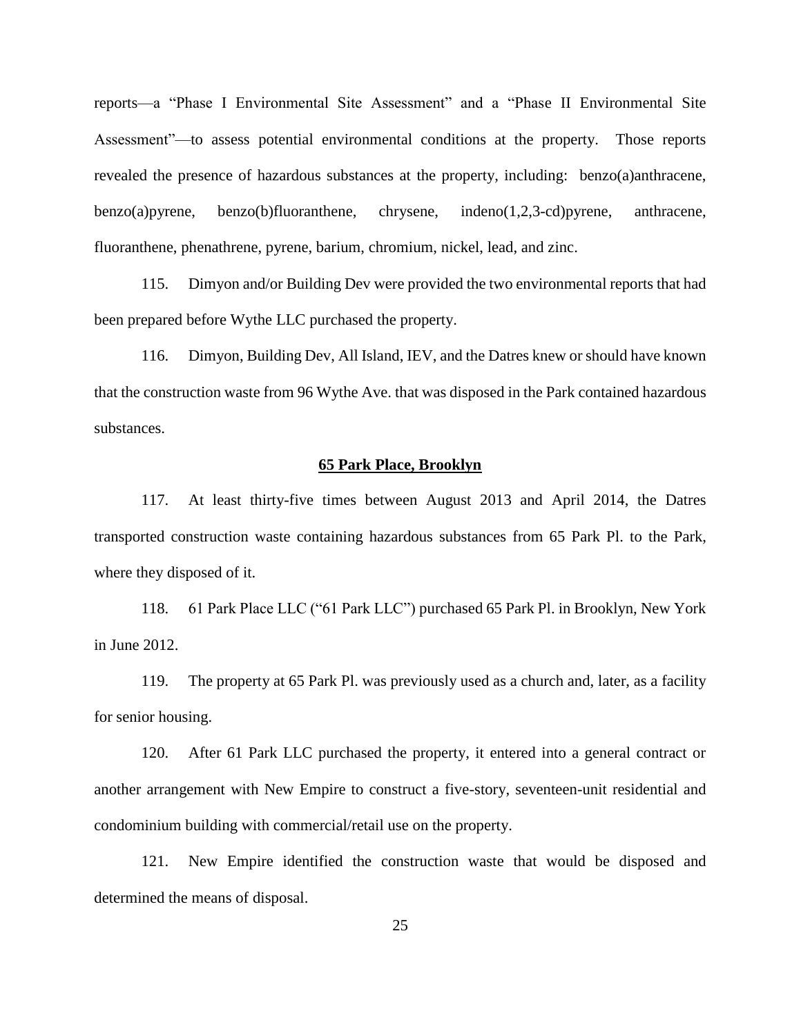reports—a "Phase I Environmental Site Assessment" and a "Phase II Environmental Site Assessment"—to assess potential environmental conditions at the property. Those reports revealed the presence of hazardous substances at the property, including: benzo(a)anthracene, benzo(a)pyrene, benzo(b)fluoranthene, chrysene, indeno(1,2,3-cd)pyrene, anthracene, fluoranthene, phenathrene, pyrene, barium, chromium, nickel, lead, and zinc.

115. Dimyon and/or Building Dev were provided the two environmental reports that had been prepared before Wythe LLC purchased the property.

116. Dimyon, Building Dev, All Island, IEV, and the Datres knew or should have known that the construction waste from 96 Wythe Ave. that was disposed in the Park contained hazardous substances.

## **65 Park Place, Brooklyn**

117. At least thirty-five times between August 2013 and April 2014, the Datres transported construction waste containing hazardous substances from 65 Park Pl. to the Park, where they disposed of it.

118. 61 Park Place LLC ("61 Park LLC") purchased 65 Park Pl. in Brooklyn, New York in June 2012.

119. The property at 65 Park Pl. was previously used as a church and, later, as a facility for senior housing.

120. After 61 Park LLC purchased the property, it entered into a general contract or another arrangement with New Empire to construct a five-story, seventeen-unit residential and condominium building with commercial/retail use on the property.

121. New Empire identified the construction waste that would be disposed and determined the means of disposal.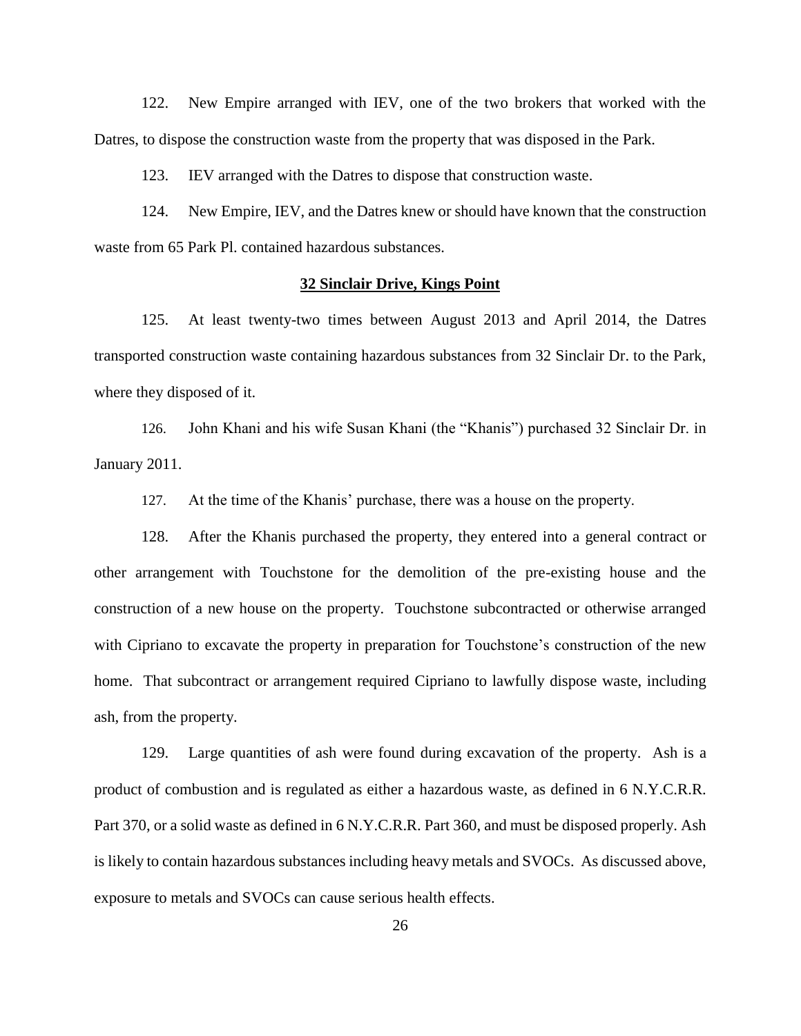122. New Empire arranged with IEV, one of the two brokers that worked with the Datres, to dispose the construction waste from the property that was disposed in the Park.

123. IEV arranged with the Datres to dispose that construction waste.

124. New Empire, IEV, and the Datres knew or should have known that the construction waste from 65 Park Pl. contained hazardous substances.

## **32 Sinclair Drive, Kings Point**

125. At least twenty-two times between August 2013 and April 2014, the Datres transported construction waste containing hazardous substances from 32 Sinclair Dr. to the Park, where they disposed of it.

126. John Khani and his wife Susan Khani (the "Khanis") purchased 32 Sinclair Dr. in January 2011.

127. At the time of the Khanis' purchase, there was a house on the property.

128. After the Khanis purchased the property, they entered into a general contract or other arrangement with Touchstone for the demolition of the pre-existing house and the construction of a new house on the property. Touchstone subcontracted or otherwise arranged with Cipriano to excavate the property in preparation for Touchstone's construction of the new home. That subcontract or arrangement required Cipriano to lawfully dispose waste, including ash, from the property.

129. Large quantities of ash were found during excavation of the property. Ash is a product of combustion and is regulated as either a hazardous waste, as defined in 6 N.Y.C.R.R. Part 370, or a solid waste as defined in 6 N.Y.C.R.R. Part 360, and must be disposed properly. Ash is likely to contain hazardous substances including heavy metals and SVOCs. As discussed above, exposure to metals and SVOCs can cause serious health effects.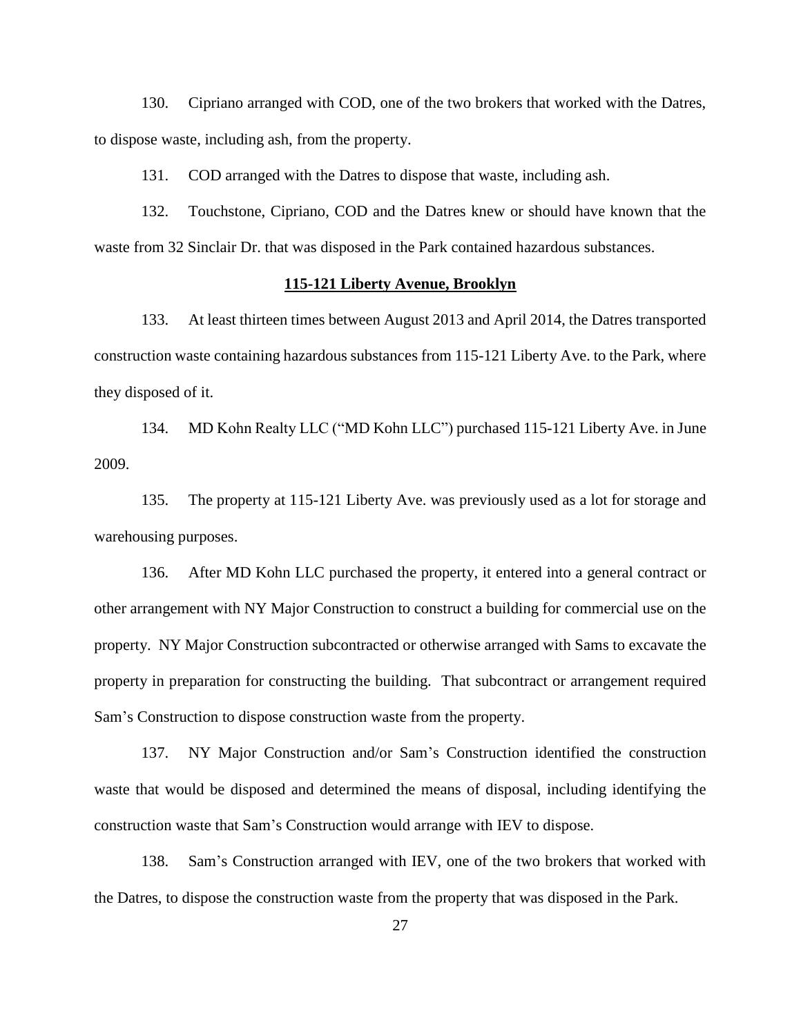130. Cipriano arranged with COD, one of the two brokers that worked with the Datres, to dispose waste, including ash, from the property.

131. COD arranged with the Datres to dispose that waste, including ash.

132. Touchstone, Cipriano, COD and the Datres knew or should have known that the waste from 32 Sinclair Dr. that was disposed in the Park contained hazardous substances.

# **115-121 Liberty Avenue, Brooklyn**

133. At least thirteen times between August 2013 and April 2014, the Datres transported construction waste containing hazardous substances from 115-121 Liberty Ave. to the Park, where they disposed of it.

134. MD Kohn Realty LLC ("MD Kohn LLC") purchased 115-121 Liberty Ave. in June 2009.

135. The property at 115-121 Liberty Ave. was previously used as a lot for storage and warehousing purposes.

136. After MD Kohn LLC purchased the property, it entered into a general contract or other arrangement with NY Major Construction to construct a building for commercial use on the property. NY Major Construction subcontracted or otherwise arranged with Sams to excavate the property in preparation for constructing the building. That subcontract or arrangement required Sam's Construction to dispose construction waste from the property.

137. NY Major Construction and/or Sam's Construction identified the construction waste that would be disposed and determined the means of disposal, including identifying the construction waste that Sam's Construction would arrange with IEV to dispose.

138. Sam's Construction arranged with IEV, one of the two brokers that worked with the Datres, to dispose the construction waste from the property that was disposed in the Park.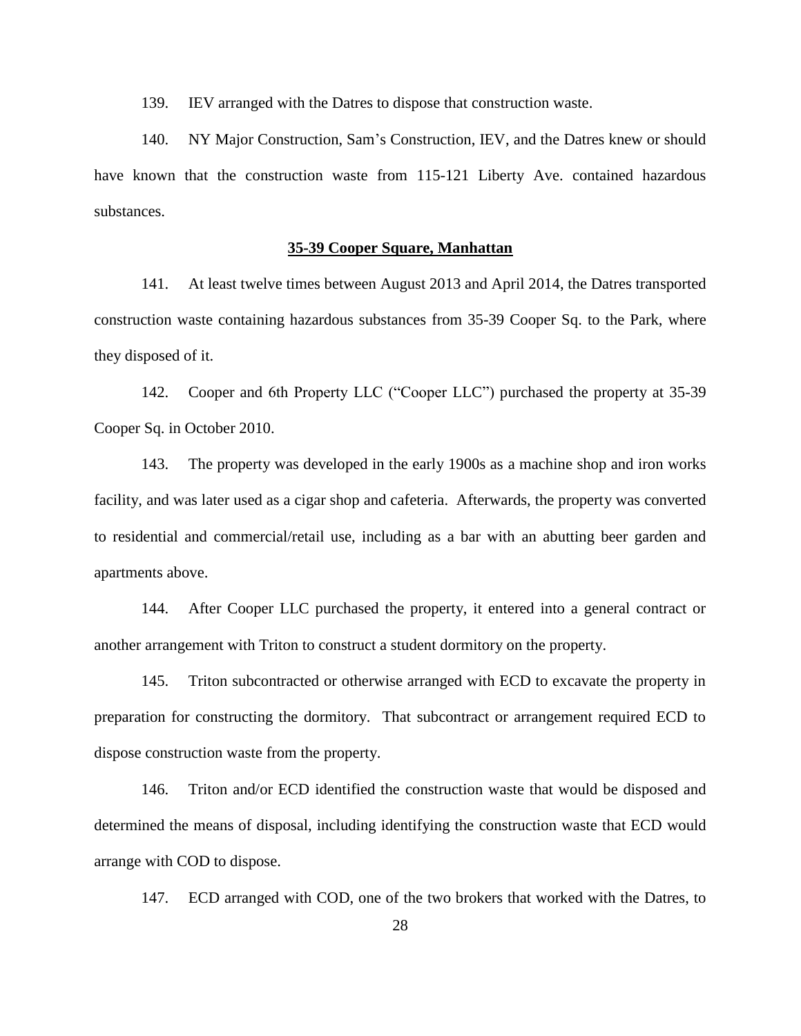139. IEV arranged with the Datres to dispose that construction waste.

140. NY Major Construction, Sam's Construction, IEV, and the Datres knew or should have known that the construction waste from 115-121 Liberty Ave. contained hazardous substances.

# **35-39 Cooper Square, Manhattan**

141. At least twelve times between August 2013 and April 2014, the Datres transported construction waste containing hazardous substances from 35-39 Cooper Sq. to the Park, where they disposed of it.

142. Cooper and 6th Property LLC ("Cooper LLC") purchased the property at 35-39 Cooper Sq. in October 2010.

143. The property was developed in the early 1900s as a machine shop and iron works facility, and was later used as a cigar shop and cafeteria. Afterwards, the property was converted to residential and commercial/retail use, including as a bar with an abutting beer garden and apartments above.

144. After Cooper LLC purchased the property, it entered into a general contract or another arrangement with Triton to construct a student dormitory on the property.

145. Triton subcontracted or otherwise arranged with ECD to excavate the property in preparation for constructing the dormitory. That subcontract or arrangement required ECD to dispose construction waste from the property.

146. Triton and/or ECD identified the construction waste that would be disposed and determined the means of disposal, including identifying the construction waste that ECD would arrange with COD to dispose.

147. ECD arranged with COD, one of the two brokers that worked with the Datres, to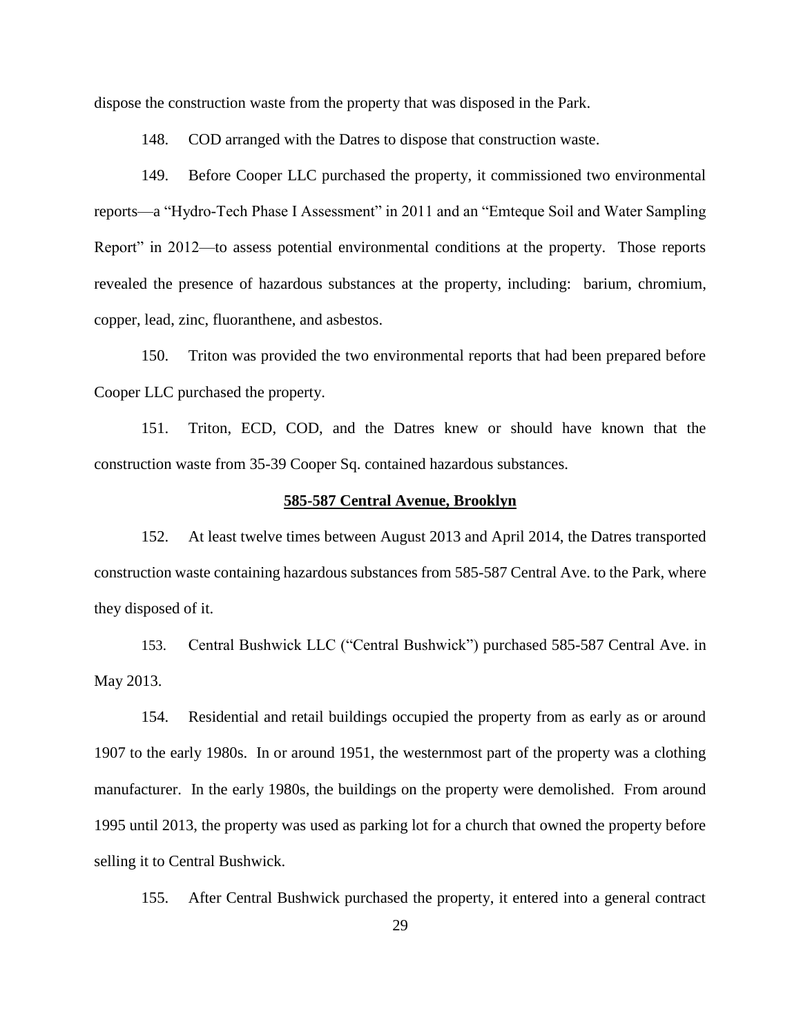dispose the construction waste from the property that was disposed in the Park.

148. COD arranged with the Datres to dispose that construction waste.

149. Before Cooper LLC purchased the property, it commissioned two environmental reports—a "Hydro-Tech Phase I Assessment" in 2011 and an "Emteque Soil and Water Sampling Report" in 2012—to assess potential environmental conditions at the property. Those reports revealed the presence of hazardous substances at the property, including: barium, chromium, copper, lead, zinc, fluoranthene, and asbestos.

150. Triton was provided the two environmental reports that had been prepared before Cooper LLC purchased the property.

151. Triton, ECD, COD, and the Datres knew or should have known that the construction waste from 35-39 Cooper Sq. contained hazardous substances.

### **585-587 Central Avenue, Brooklyn**

152. At least twelve times between August 2013 and April 2014, the Datres transported construction waste containing hazardous substances from 585-587 Central Ave. to the Park, where they disposed of it.

153. Central Bushwick LLC ("Central Bushwick") purchased 585-587 Central Ave. in May 2013.

154. Residential and retail buildings occupied the property from as early as or around 1907 to the early 1980s. In or around 1951, the westernmost part of the property was a clothing manufacturer. In the early 1980s, the buildings on the property were demolished. From around 1995 until 2013, the property was used as parking lot for a church that owned the property before selling it to Central Bushwick.

155. After Central Bushwick purchased the property, it entered into a general contract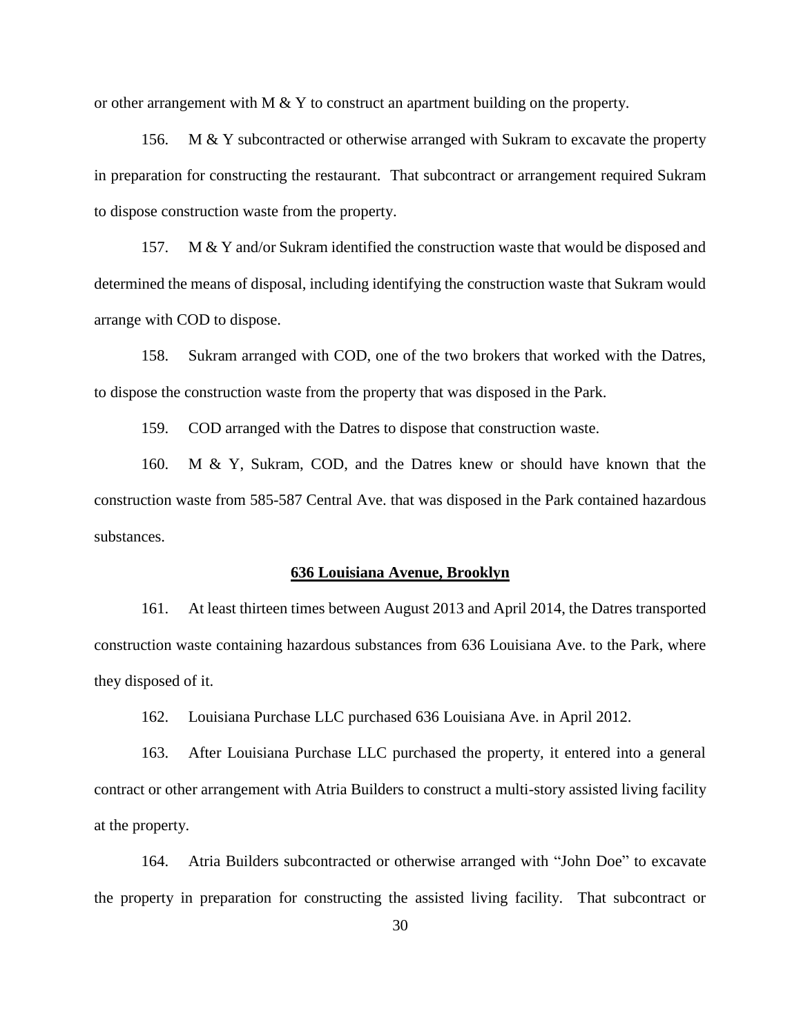or other arrangement with  $M \& Y$  to construct an apartment building on the property.

156. M & Y subcontracted or otherwise arranged with Sukram to excavate the property in preparation for constructing the restaurant. That subcontract or arrangement required Sukram to dispose construction waste from the property.

157. M & Y and/or Sukram identified the construction waste that would be disposed and determined the means of disposal, including identifying the construction waste that Sukram would arrange with COD to dispose.

158. Sukram arranged with COD, one of the two brokers that worked with the Datres, to dispose the construction waste from the property that was disposed in the Park.

159. COD arranged with the Datres to dispose that construction waste.

160. M & Y, Sukram, COD, and the Datres knew or should have known that the construction waste from 585-587 Central Ave. that was disposed in the Park contained hazardous substances.

#### **636 Louisiana Avenue, Brooklyn**

161. At least thirteen times between August 2013 and April 2014, the Datres transported construction waste containing hazardous substances from 636 Louisiana Ave. to the Park, where they disposed of it.

162. Louisiana Purchase LLC purchased 636 Louisiana Ave. in April 2012.

163. After Louisiana Purchase LLC purchased the property, it entered into a general contract or other arrangement with Atria Builders to construct a multi-story assisted living facility at the property.

164. Atria Builders subcontracted or otherwise arranged with "John Doe" to excavate the property in preparation for constructing the assisted living facility. That subcontract or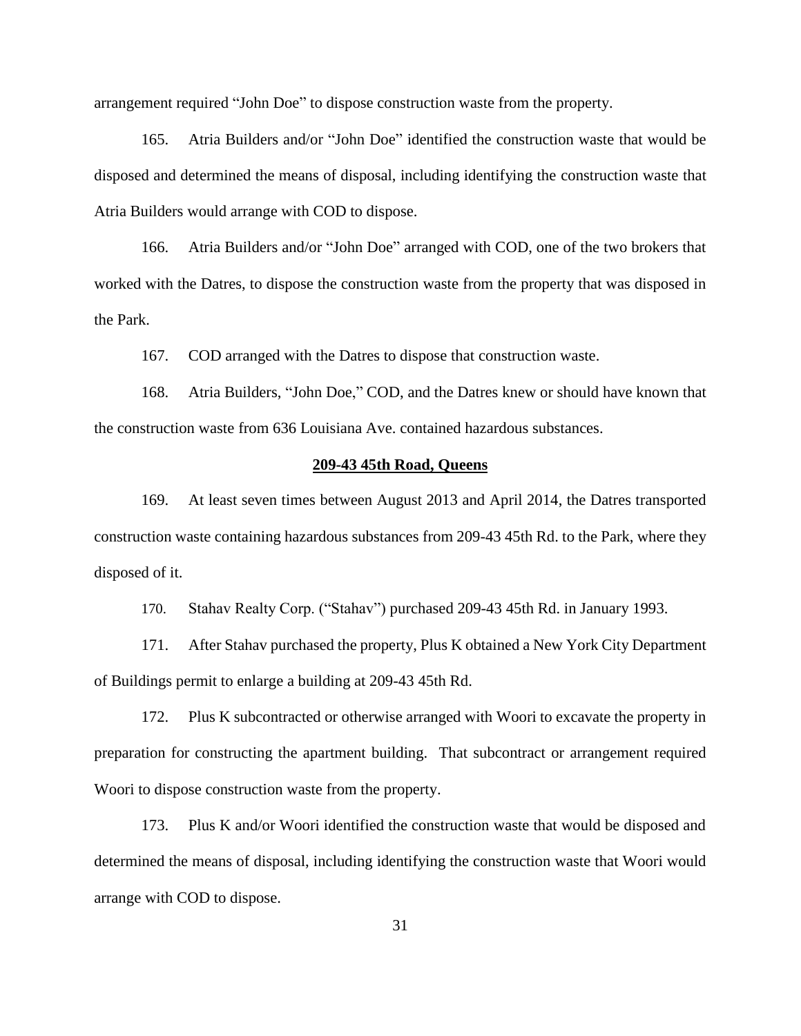arrangement required "John Doe" to dispose construction waste from the property.

165. Atria Builders and/or "John Doe" identified the construction waste that would be disposed and determined the means of disposal, including identifying the construction waste that Atria Builders would arrange with COD to dispose.

166. Atria Builders and/or "John Doe" arranged with COD, one of the two brokers that worked with the Datres, to dispose the construction waste from the property that was disposed in the Park.

167. COD arranged with the Datres to dispose that construction waste.

168. Atria Builders, "John Doe," COD, and the Datres knew or should have known that the construction waste from 636 Louisiana Ave. contained hazardous substances.

## **209-43 45th Road, Queens**

169. At least seven times between August 2013 and April 2014, the Datres transported construction waste containing hazardous substances from 209-43 45th Rd. to the Park, where they disposed of it.

170. Stahav Realty Corp. ("Stahav") purchased 209-43 45th Rd. in January 1993.

171. After Stahav purchased the property, Plus K obtained a New York City Department of Buildings permit to enlarge a building at 209-43 45th Rd.

172. Plus K subcontracted or otherwise arranged with Woori to excavate the property in preparation for constructing the apartment building. That subcontract or arrangement required Woori to dispose construction waste from the property.

173. Plus K and/or Woori identified the construction waste that would be disposed and determined the means of disposal, including identifying the construction waste that Woori would arrange with COD to dispose.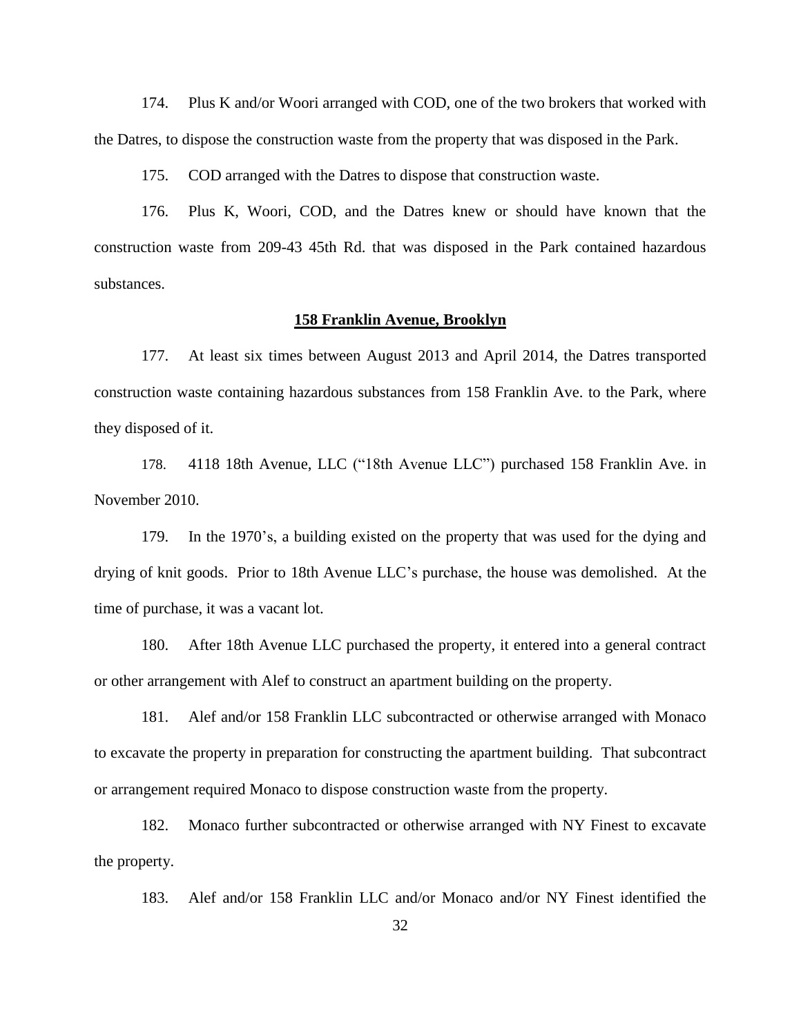174. Plus K and/or Woori arranged with COD, one of the two brokers that worked with the Datres, to dispose the construction waste from the property that was disposed in the Park.

175. COD arranged with the Datres to dispose that construction waste.

176. Plus K, Woori, COD, and the Datres knew or should have known that the construction waste from 209-43 45th Rd. that was disposed in the Park contained hazardous substances.

## **158 Franklin Avenue, Brooklyn**

177. At least six times between August 2013 and April 2014, the Datres transported construction waste containing hazardous substances from 158 Franklin Ave. to the Park, where they disposed of it.

178. 4118 18th Avenue, LLC ("18th Avenue LLC") purchased 158 Franklin Ave. in November 2010.

179. In the 1970's, a building existed on the property that was used for the dying and drying of knit goods. Prior to 18th Avenue LLC's purchase, the house was demolished. At the time of purchase, it was a vacant lot.

180. After 18th Avenue LLC purchased the property, it entered into a general contract or other arrangement with Alef to construct an apartment building on the property.

181. Alef and/or 158 Franklin LLC subcontracted or otherwise arranged with Monaco to excavate the property in preparation for constructing the apartment building. That subcontract or arrangement required Monaco to dispose construction waste from the property.

182. Monaco further subcontracted or otherwise arranged with NY Finest to excavate the property.

183. Alef and/or 158 Franklin LLC and/or Monaco and/or NY Finest identified the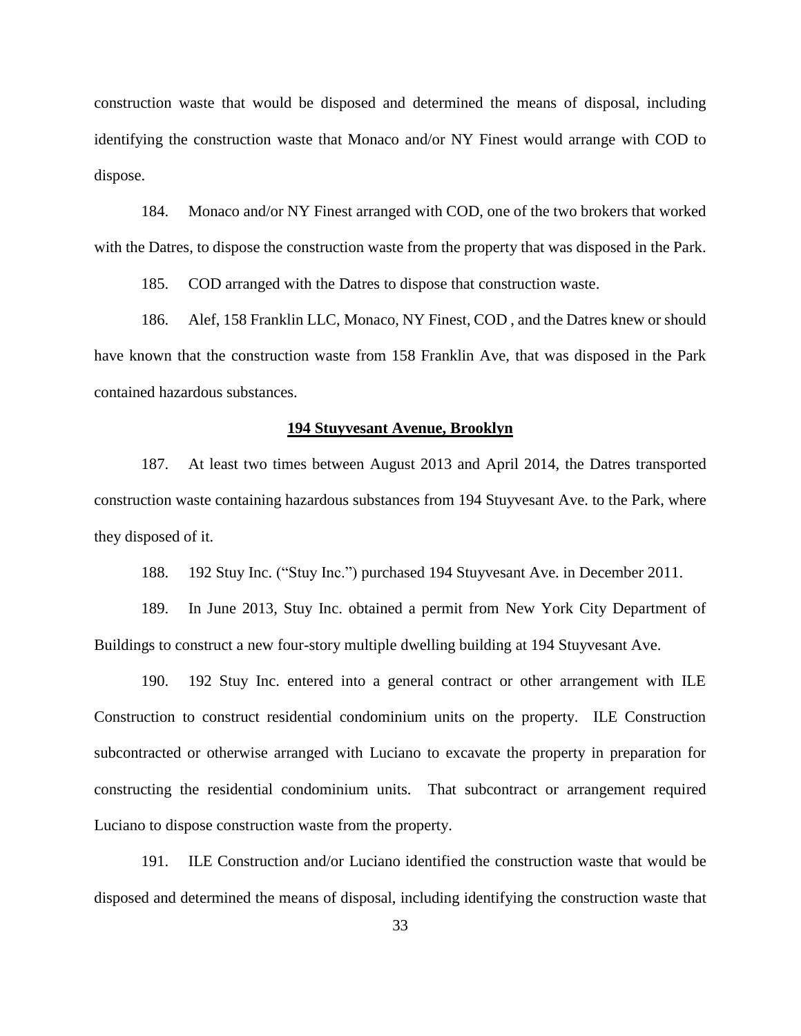construction waste that would be disposed and determined the means of disposal, including identifying the construction waste that Monaco and/or NY Finest would arrange with COD to dispose.

184. Monaco and/or NY Finest arranged with COD, one of the two brokers that worked with the Datres, to dispose the construction waste from the property that was disposed in the Park.

185. COD arranged with the Datres to dispose that construction waste.

186. Alef, 158 Franklin LLC, Monaco, NY Finest, COD , and the Datres knew or should have known that the construction waste from 158 Franklin Ave, that was disposed in the Park contained hazardous substances.

#### **194 Stuyvesant Avenue, Brooklyn**

187. At least two times between August 2013 and April 2014, the Datres transported construction waste containing hazardous substances from 194 Stuyvesant Ave. to the Park, where they disposed of it.

188. 192 Stuy Inc. ("Stuy Inc.") purchased 194 Stuyvesant Ave. in December 2011.

189. In June 2013, Stuy Inc. obtained a permit from New York City Department of Buildings to construct a new four-story multiple dwelling building at 194 Stuyvesant Ave.

190. 192 Stuy Inc. entered into a general contract or other arrangement with ILE Construction to construct residential condominium units on the property. ILE Construction subcontracted or otherwise arranged with Luciano to excavate the property in preparation for constructing the residential condominium units. That subcontract or arrangement required Luciano to dispose construction waste from the property.

191. ILE Construction and/or Luciano identified the construction waste that would be disposed and determined the means of disposal, including identifying the construction waste that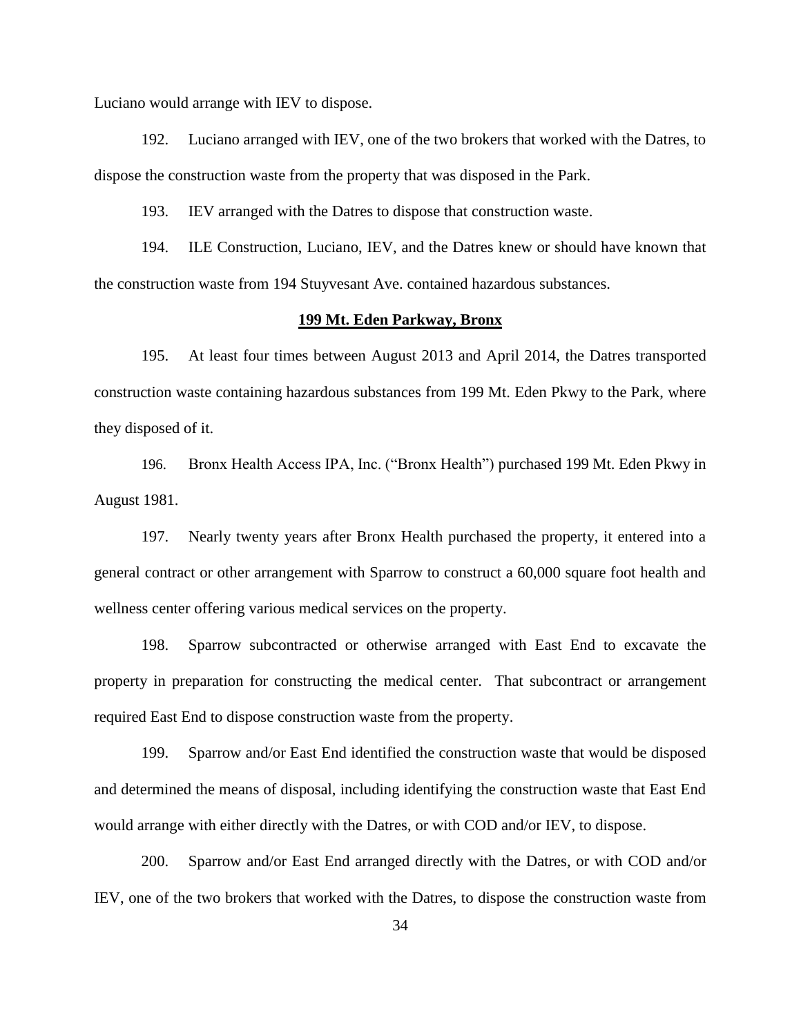Luciano would arrange with IEV to dispose.

192. Luciano arranged with IEV, one of the two brokers that worked with the Datres, to dispose the construction waste from the property that was disposed in the Park.

193. IEV arranged with the Datres to dispose that construction waste.

194. ILE Construction, Luciano, IEV, and the Datres knew or should have known that the construction waste from 194 Stuyvesant Ave. contained hazardous substances.

## **199 Mt. Eden Parkway, Bronx**

195. At least four times between August 2013 and April 2014, the Datres transported construction waste containing hazardous substances from 199 Mt. Eden Pkwy to the Park, where they disposed of it.

196. Bronx Health Access IPA, Inc. ("Bronx Health") purchased 199 Mt. Eden Pkwy in August 1981.

197. Nearly twenty years after Bronx Health purchased the property, it entered into a general contract or other arrangement with Sparrow to construct a 60,000 square foot health and wellness center offering various medical services on the property.

198. Sparrow subcontracted or otherwise arranged with East End to excavate the property in preparation for constructing the medical center. That subcontract or arrangement required East End to dispose construction waste from the property.

199. Sparrow and/or East End identified the construction waste that would be disposed and determined the means of disposal, including identifying the construction waste that East End would arrange with either directly with the Datres, or with COD and/or IEV, to dispose.

200. Sparrow and/or East End arranged directly with the Datres, or with COD and/or IEV, one of the two brokers that worked with the Datres, to dispose the construction waste from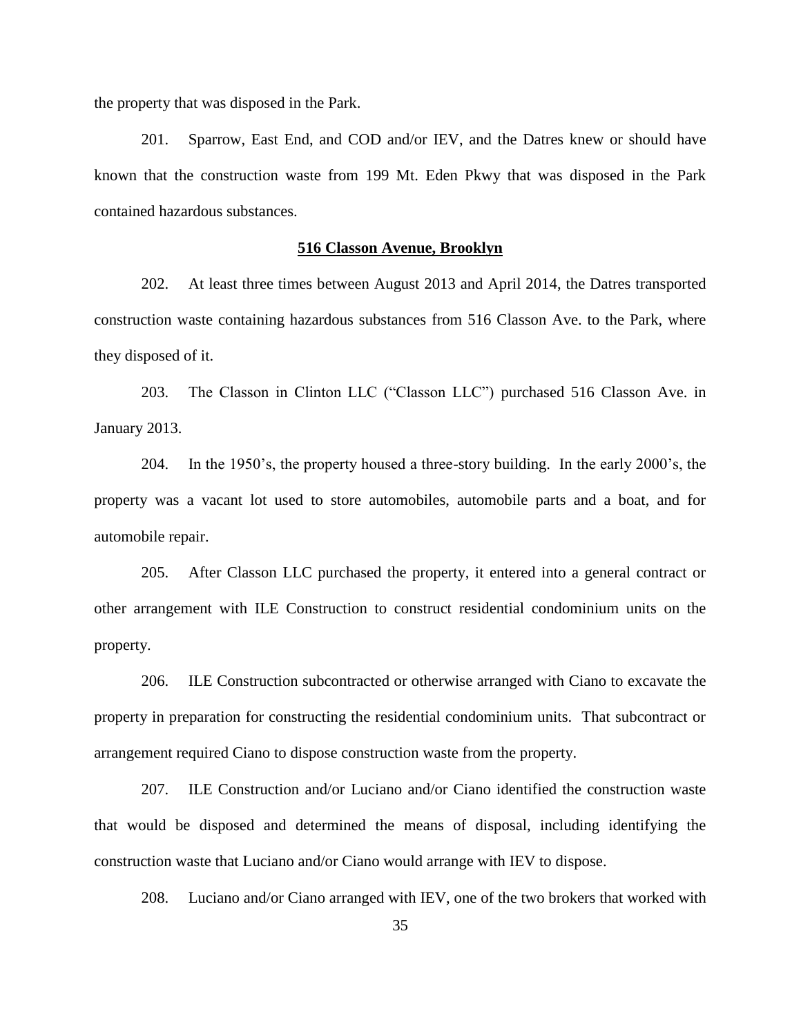the property that was disposed in the Park.

201. Sparrow, East End, and COD and/or IEV, and the Datres knew or should have known that the construction waste from 199 Mt. Eden Pkwy that was disposed in the Park contained hazardous substances.

### **516 Classon Avenue, Brooklyn**

202. At least three times between August 2013 and April 2014, the Datres transported construction waste containing hazardous substances from 516 Classon Ave. to the Park, where they disposed of it.

203. The Classon in Clinton LLC ("Classon LLC") purchased 516 Classon Ave. in January 2013.

204. In the 1950's, the property housed a three-story building. In the early 2000's, the property was a vacant lot used to store automobiles, automobile parts and a boat, and for automobile repair.

205. After Classon LLC purchased the property, it entered into a general contract or other arrangement with ILE Construction to construct residential condominium units on the property.

206. ILE Construction subcontracted or otherwise arranged with Ciano to excavate the property in preparation for constructing the residential condominium units. That subcontract or arrangement required Ciano to dispose construction waste from the property.

207. ILE Construction and/or Luciano and/or Ciano identified the construction waste that would be disposed and determined the means of disposal, including identifying the construction waste that Luciano and/or Ciano would arrange with IEV to dispose.

208. Luciano and/or Ciano arranged with IEV, one of the two brokers that worked with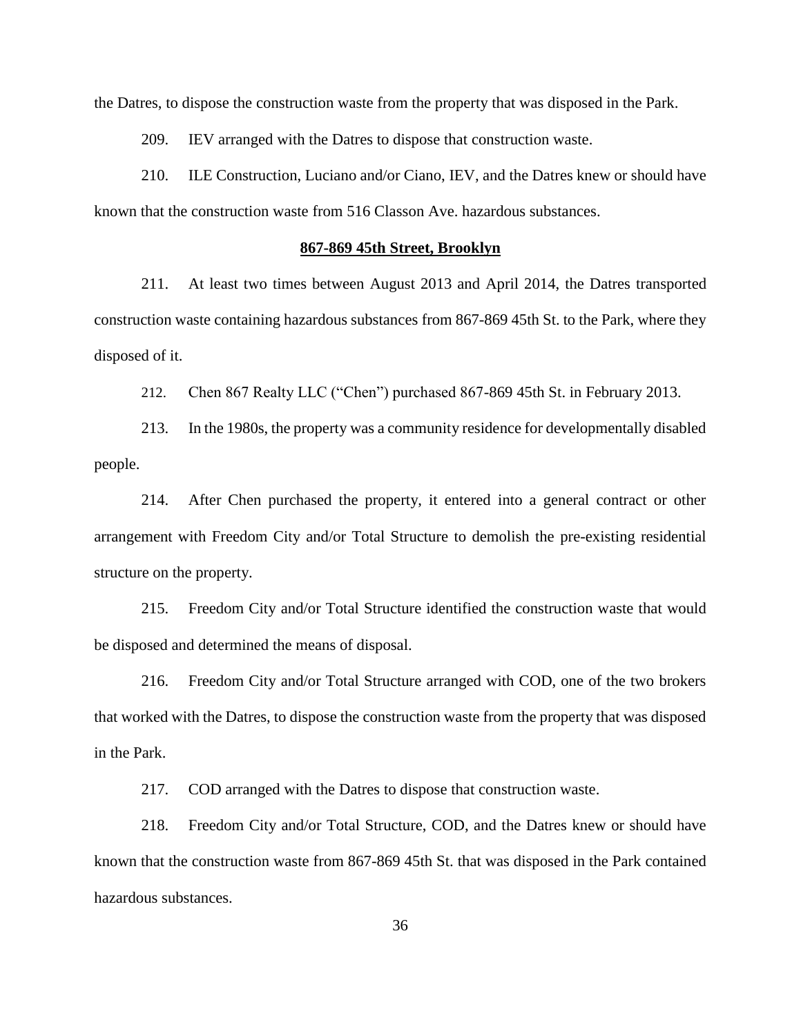the Datres, to dispose the construction waste from the property that was disposed in the Park.

209. IEV arranged with the Datres to dispose that construction waste.

210. ILE Construction, Luciano and/or Ciano, IEV, and the Datres knew or should have known that the construction waste from 516 Classon Ave. hazardous substances.

#### **867-869 45th Street, Brooklyn**

211. At least two times between August 2013 and April 2014, the Datres transported construction waste containing hazardous substances from 867-869 45th St. to the Park, where they disposed of it.

212. Chen 867 Realty LLC ("Chen") purchased 867-869 45th St. in February 2013.

213. In the 1980s, the property was a community residence for developmentally disabled people.

214. After Chen purchased the property, it entered into a general contract or other arrangement with Freedom City and/or Total Structure to demolish the pre-existing residential structure on the property.

215. Freedom City and/or Total Structure identified the construction waste that would be disposed and determined the means of disposal.

216. Freedom City and/or Total Structure arranged with COD, one of the two brokers that worked with the Datres, to dispose the construction waste from the property that was disposed in the Park.

217. COD arranged with the Datres to dispose that construction waste.

218. Freedom City and/or Total Structure, COD, and the Datres knew or should have known that the construction waste from 867-869 45th St. that was disposed in the Park contained hazardous substances.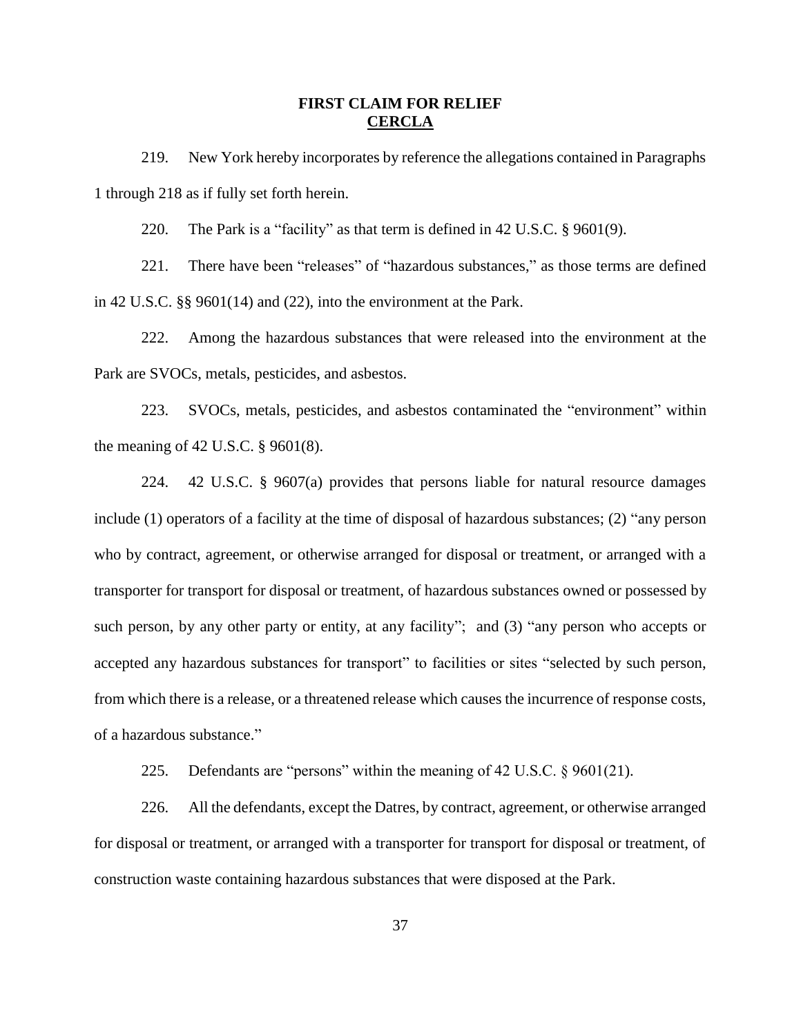# **FIRST CLAIM FOR RELIEF CERCLA**

219. New York hereby incorporates by reference the allegations contained in Paragraphs 1 through 218 as if fully set forth herein.

220. The Park is a "facility" as that term is defined in 42 U.S.C. § 9601(9).

221. There have been "releases" of "hazardous substances," as those terms are defined in 42 U.S.C. §§ 9601(14) and (22), into the environment at the Park.

222. Among the hazardous substances that were released into the environment at the Park are SVOCs, metals, pesticides, and asbestos.

223. SVOCs, metals, pesticides, and asbestos contaminated the "environment" within the meaning of 42 U.S.C. § 9601(8).

224. 42 U.S.C. § 9607(a) provides that persons liable for natural resource damages include (1) operators of a facility at the time of disposal of hazardous substances; (2) "any person who by contract, agreement, or otherwise arranged for disposal or treatment, or arranged with a transporter for transport for disposal or treatment, of hazardous substances owned or possessed by such person, by any other party or entity, at any facility"; and (3) "any person who accepts or accepted any hazardous substances for transport" to facilities or sites "selected by such person, from which there is a release, or a threatened release which causes the incurrence of response costs, of a hazardous substance."

225. Defendants are "persons" within the meaning of 42 U.S.C. § 9601(21).

226. All the defendants, except the Datres, by contract, agreement, or otherwise arranged for disposal or treatment, or arranged with a transporter for transport for disposal or treatment, of construction waste containing hazardous substances that were disposed at the Park.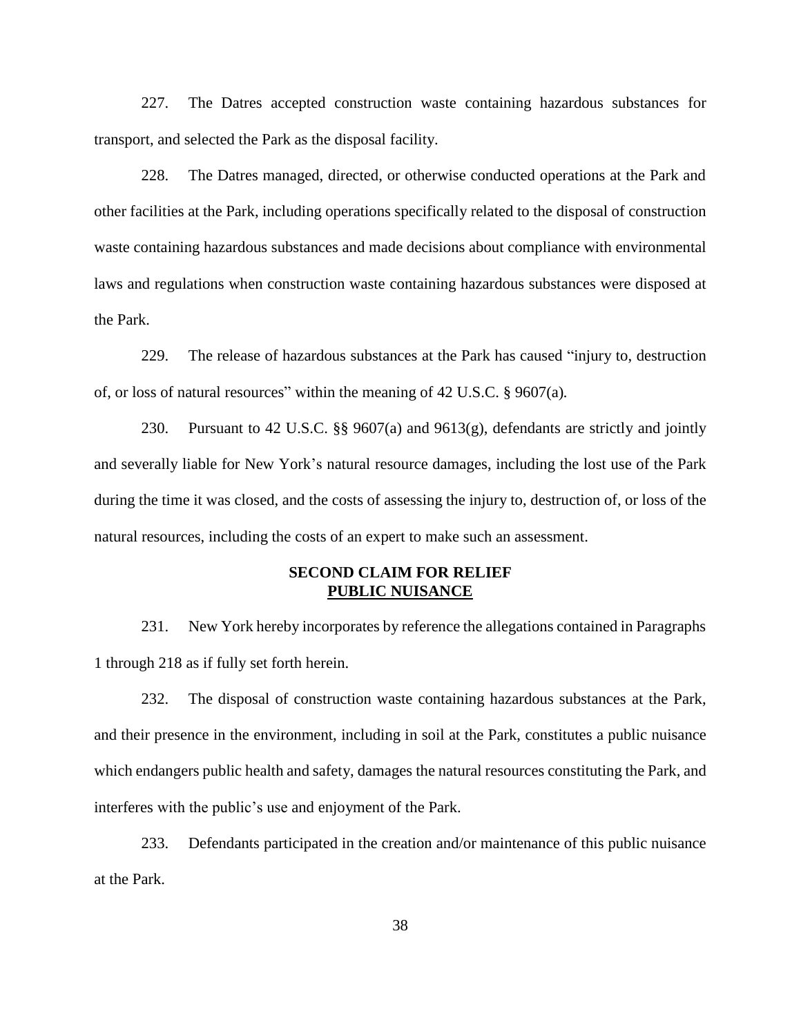227. The Datres accepted construction waste containing hazardous substances for transport, and selected the Park as the disposal facility.

228. The Datres managed, directed, or otherwise conducted operations at the Park and other facilities at the Park, including operations specifically related to the disposal of construction waste containing hazardous substances and made decisions about compliance with environmental laws and regulations when construction waste containing hazardous substances were disposed at the Park.

229. The release of hazardous substances at the Park has caused "injury to, destruction of, or loss of natural resources" within the meaning of 42 U.S.C. § 9607(a)*.*

230. Pursuant to 42 U.S.C. §§ 9607(a) and 9613(g), defendants are strictly and jointly and severally liable for New York's natural resource damages, including the lost use of the Park during the time it was closed, and the costs of assessing the injury to, destruction of, or loss of the natural resources, including the costs of an expert to make such an assessment.

# **SECOND CLAIM FOR RELIEF PUBLIC NUISANCE**

231. New York hereby incorporates by reference the allegations contained in Paragraphs 1 through 218 as if fully set forth herein.

232. The disposal of construction waste containing hazardous substances at the Park, and their presence in the environment, including in soil at the Park, constitutes a public nuisance which endangers public health and safety, damages the natural resources constituting the Park, and interferes with the public's use and enjoyment of the Park.

233. Defendants participated in the creation and/or maintenance of this public nuisance at the Park.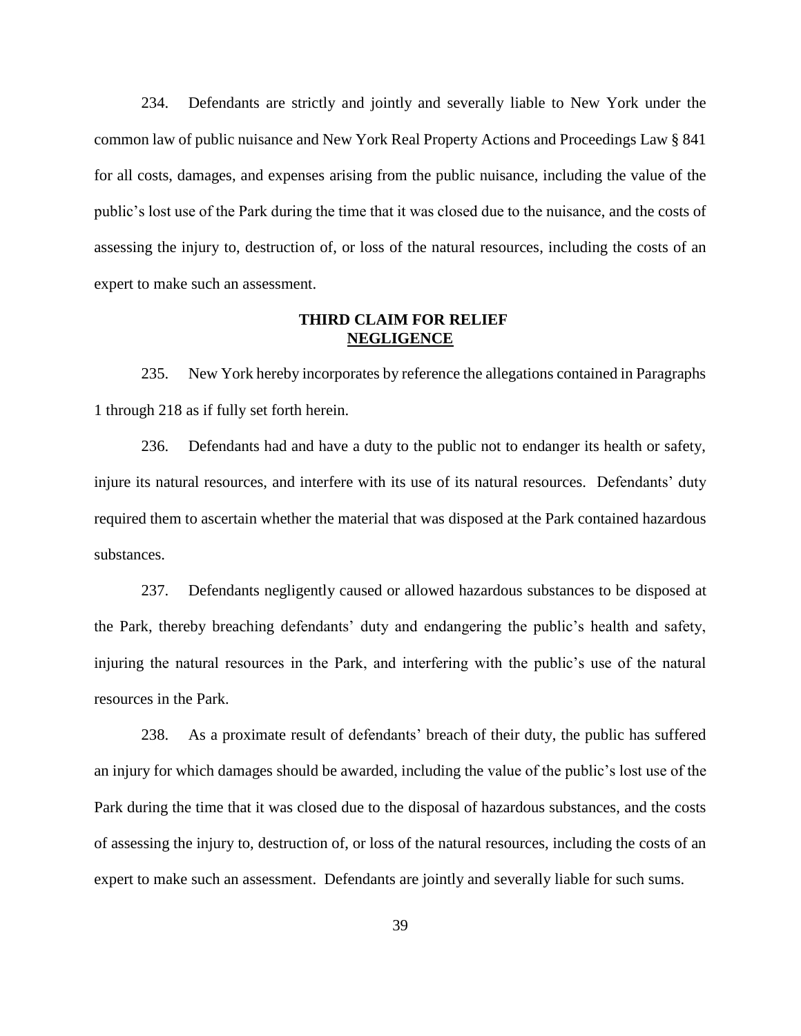234. Defendants are strictly and jointly and severally liable to New York under the common law of public nuisance and New York Real Property Actions and Proceedings Law § 841 for all costs, damages, and expenses arising from the public nuisance, including the value of the public's lost use of the Park during the time that it was closed due to the nuisance, and the costs of assessing the injury to, destruction of, or loss of the natural resources, including the costs of an expert to make such an assessment.

# **THIRD CLAIM FOR RELIEF NEGLIGENCE**

235. New York hereby incorporates by reference the allegations contained in Paragraphs 1 through 218 as if fully set forth herein.

236. Defendants had and have a duty to the public not to endanger its health or safety, injure its natural resources, and interfere with its use of its natural resources. Defendants' duty required them to ascertain whether the material that was disposed at the Park contained hazardous substances.

237. Defendants negligently caused or allowed hazardous substances to be disposed at the Park, thereby breaching defendants' duty and endangering the public's health and safety, injuring the natural resources in the Park, and interfering with the public's use of the natural resources in the Park.

238. As a proximate result of defendants' breach of their duty, the public has suffered an injury for which damages should be awarded, including the value of the public's lost use of the Park during the time that it was closed due to the disposal of hazardous substances, and the costs of assessing the injury to, destruction of, or loss of the natural resources, including the costs of an expert to make such an assessment. Defendants are jointly and severally liable for such sums.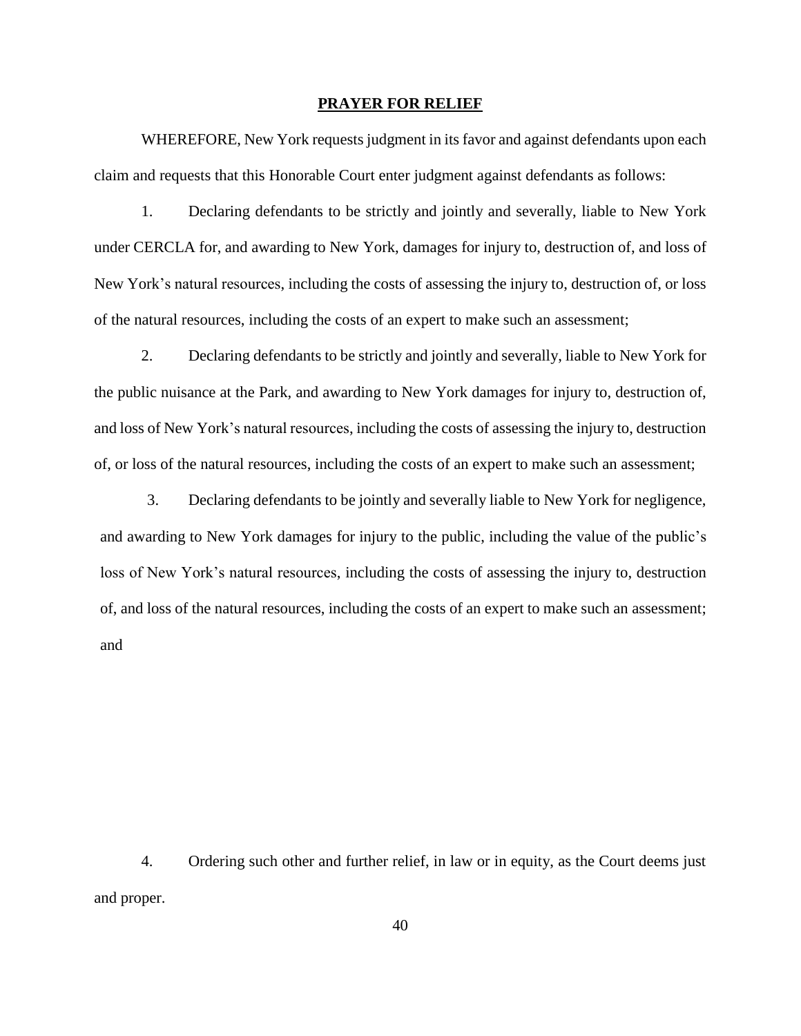#### **PRAYER FOR RELIEF**

WHEREFORE, New York requests judgment in its favor and against defendants upon each claim and requests that this Honorable Court enter judgment against defendants as follows:

1. Declaring defendants to be strictly and jointly and severally, liable to New York under CERCLA for, and awarding to New York, damages for injury to, destruction of, and loss of New York's natural resources, including the costs of assessing the injury to, destruction of, or loss of the natural resources, including the costs of an expert to make such an assessment;

2. Declaring defendants to be strictly and jointly and severally, liable to New York for the public nuisance at the Park, and awarding to New York damages for injury to, destruction of, and loss of New York's natural resources, including the costs of assessing the injury to, destruction of, or loss of the natural resources, including the costs of an expert to make such an assessment;

3. Declaring defendants to be jointly and severally liable to New York for negligence, and awarding to New York damages for injury to the public, including the value of the public's loss of New York's natural resources, including the costs of assessing the injury to, destruction of, and loss of the natural resources, including the costs of an expert to make such an assessment; and

4. Ordering such other and further relief, in law or in equity, as the Court deems just and proper.